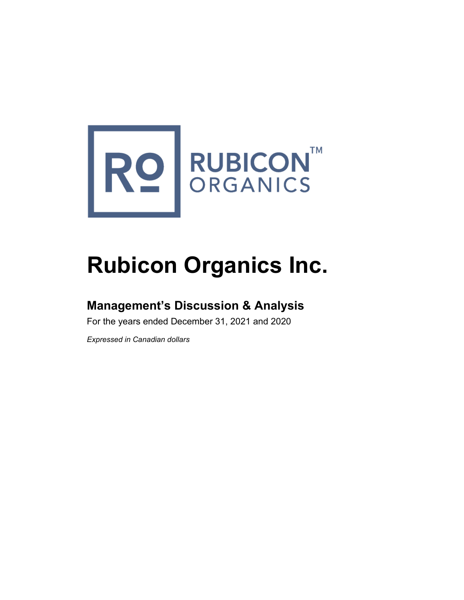

# **Rubicon Organics Inc.**

# **Management's Discussion & Analysis**

For the years ended December 31, 2021 and 2020

*Expressed in Canadian dollars*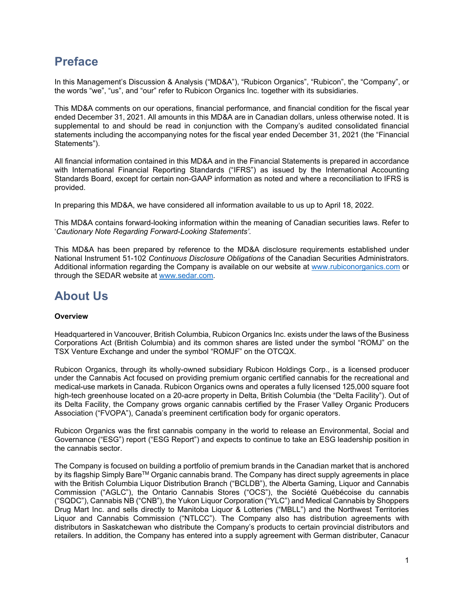# **Preface**

In this Management's Discussion & Analysis ("MD&A"), "Rubicon Organics", "Rubicon", the "Company", or the words "we", "us", and "our" refer to Rubicon Organics Inc. together with its subsidiaries.

This MD&A comments on our operations, financial performance, and financial condition for the fiscal year ended December 31, 2021. All amounts in this MD&A are in Canadian dollars, unless otherwise noted. It is supplemental to and should be read in conjunction with the Company's audited consolidated financial statements including the accompanying notes for the fiscal year ended December 31, 2021 (the "Financial Statements").

All financial information contained in this MD&A and in the Financial Statements is prepared in accordance with International Financial Reporting Standards ("IFRS") as issued by the International Accounting Standards Board, except for certain non-GAAP information as noted and where a reconciliation to IFRS is provided.

In preparing this MD&A, we have considered all information available to us up to April 18, 2022.

This MD&A contains forward-looking information within the meaning of Canadian securities laws. Refer to '*Cautionary Note Regarding Forward-Looking Statements'*.

This MD&A has been prepared by reference to the MD&A disclosure requirements established under National Instrument 51-102 *Continuous Disclosure Obligations* of the Canadian Securities Administrators. Additional information regarding the Company is available on our website at [www.rubiconorganics.com](http://www.rubiconorganics.com/) or through the SEDAR website at [www.sedar.com.](http://www.sedar.com/)

# **About Us**

#### **Overview**

Headquartered in Vancouver, British Columbia, Rubicon Organics Inc. exists under the laws of the Business Corporations Act (British Columbia) and its common shares are listed under the symbol "ROMJ" on the TSX Venture Exchange and under the symbol "ROMJF" on the OTCQX.

Rubicon Organics, through its wholly-owned subsidiary Rubicon Holdings Corp., is a licensed producer under the Cannabis Act focused on providing premium organic certified cannabis for the recreational and medical-use markets in Canada. Rubicon Organics owns and operates a fully licensed 125,000 square foot high-tech greenhouse located on a 20-acre property in Delta, British Columbia (the "Delta Facility"). Out of its Delta Facility, the Company grows organic cannabis certified by the Fraser Valley Organic Producers Association ("FVOPA"), Canada's preeminent certification body for organic operators.

Rubicon Organics was the first cannabis company in the world to release an Environmental, Social and Governance ("ESG") report ("ESG Report") and expects to continue to take an ESG leadership position in the cannabis sector.

The Company is focused on building a portfolio of premium brands in the Canadian market that is anchored by its flagship Simply Bare™ Organic cannabis brand. The Company has direct supply agreements in place with the British Columbia Liquor Distribution Branch ("BCLDB"), the Alberta Gaming, Liquor and Cannabis Commission ("AGLC"), the Ontario Cannabis Stores ("OCS"), the Société Québécoise du cannabis ("SQDC"), Cannabis NB ("CNB"), the Yukon Liquor Corporation ("YLC") and Medical Cannabis by Shoppers Drug Mart Inc. and sells directly to Manitoba Liquor & Lotteries ("MBLL") and the Northwest Territories Liquor and Cannabis Commission ("NTLCC"). The Company also has distribution agreements with distributors in Saskatchewan who distribute the Company's products to certain provincial distributors and retailers. In addition, the Company has entered into a supply agreement with German distributer, Canacur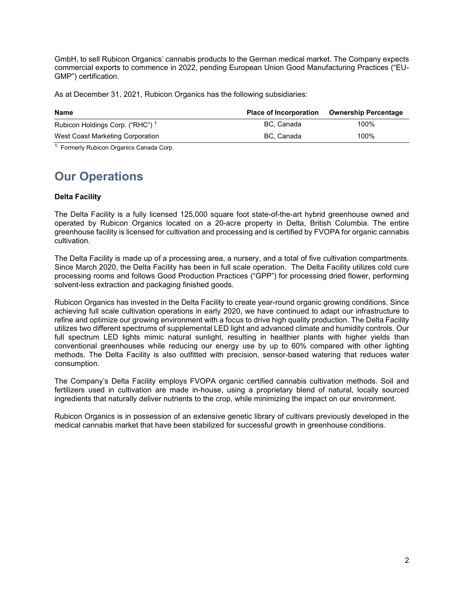GmbH, to sell Rubicon Organics' cannabis products to the German medical market. The Company expects commercial exports to commence in 2022, pending European Union Good Manufacturing Practices ("EU-GMP") certification.

As at December 31, 2021, Rubicon Organics has the following subsidiaries:

| <b>Name</b>                                 | <b>Place of Incorporation</b> | <b>Ownership Percentage</b> |
|---------------------------------------------|-------------------------------|-----------------------------|
| Rubicon Holdings Corp. ("RHC") <sup>1</sup> | BC. Canada                    | 100%                        |
| West Coast Marketing Corporation            | BC. Canada                    | 100%                        |

<sup>1.</sup> Formerly Rubicon Organics Canada Corp.

# **Our Operations**

#### **Delta Facility**

The Delta Facility is a fully licensed 125,000 square foot state-of-the-art hybrid greenhouse owned and operated by Rubicon Organics located on a 20-acre property in Delta, British Columbia. The entire greenhouse facility is licensed for cultivation and processing and is certified by FVOPA for organic cannabis cultivation.

The Delta Facility is made up of a processing area, a nursery, and a total of five cultivation compartments. Since March 2020, the Delta Facility has been in full scale operation. The Delta Facility utilizes cold cure processing rooms and follows Good Production Practices ("GPP") for processing dried flower, performing solvent-less extraction and packaging finished goods.

Rubicon Organics has invested in the Delta Facility to create year-round organic growing conditions. Since achieving full scale cultivation operations in early 2020, we have continued to adapt our infrastructure to refine and optimize our growing environment with a focus to drive high quality production. The Delta Facility utilizes two different spectrums of supplemental LED light and advanced climate and humidity controls. Our full spectrum LED lights mimic natural sunlight, resulting in healthier plants with higher yields than conventional greenhouses while reducing our energy use by up to 60% compared with other lighting methods. The Delta Facility is also outfitted with precision, sensor-based watering that reduces water consumption.

The Company's Delta Facility employs FVOPA organic certified cannabis cultivation methods. Soil and fertilizers used in cultivation are made in-house, using a proprietary blend of natural, locally sourced ingredients that naturally deliver nutrients to the crop, while minimizing the impact on our environment.

Rubicon Organics is in possession of an extensive genetic library of cultivars previously developed in the medical cannabis market that have been stabilized for successful growth in greenhouse conditions.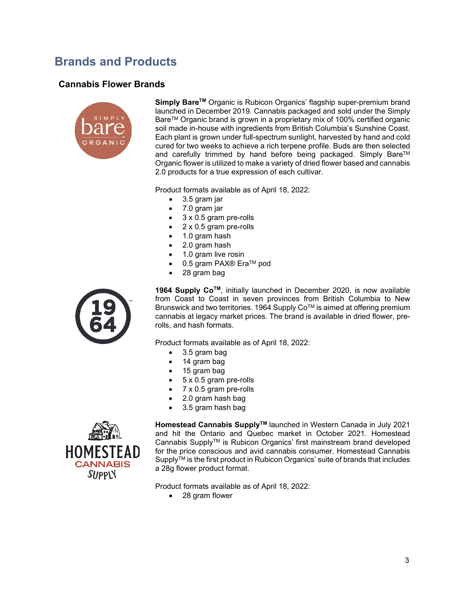# **Brands and Products**

### **Cannabis Flower Brands**



Simply Bare<sup>™</sup> Organic is Rubicon Organics' flagship super-premium brand launched in December 2019. Cannabis packaged and sold under the Simply BareTM Organic brand is grown in a proprietary mix of 100% certified organic soil made in-house with ingredients from British Columbia's Sunshine Coast. Each plant is grown under full-spectrum sunlight, harvested by hand and cold cured for two weeks to achieve a rich terpene profile. Buds are then selected and carefully trimmed by hand before being packaged. Simply Bare™ Organic flower is utilized to make a variety of dried flower based and cannabis 2.0 products for a true expression of each cultivar.

Product formats available as of April 18, 2022:

- 3.5 gram jar
- 7.0 gram jar
- 3 x 0.5 gram pre-rolls
- 2 x 0.5 gram pre-rolls
- 1.0 gram hash
- 2.0 gram hash
- 1.0 gram live rosin
- 0.5 gram PAX® Era™ pod
- 28 gram bag



**1964 Supply CoTM**, initially launched in December 2020, is now available from Coast to Coast in seven provinces from British Columbia to New Brunswick and two territories. 1964 Supply Co™ is aimed at offering premium cannabis at legacy market prices. The brand is available in dried flower, prerolls, and hash formats.

Product formats available as of April 18, 2022:

- 3.5 gram bag
- 14 gram bag
- 15 gram bag
- 5 x 0.5 gram pre-rolls
- 7 x 0.5 gram pre-rolls
- 2.0 gram hash bag
- 3.5 gram hash bag



**Homestead Cannabis SupplyTM** launched in Western Canada in July 2021 and hit the Ontario and Quebec market in October 2021. Homestead Cannabis SupplyTM is Rubicon Organics' first mainstream brand developed for the price conscious and avid cannabis consumer. Homestead Cannabis Supply™ is the first product in Rubicon Organics' suite of brands that includes a 28g flower product format.

Product formats available as of April 18, 2022:

• 28 gram flower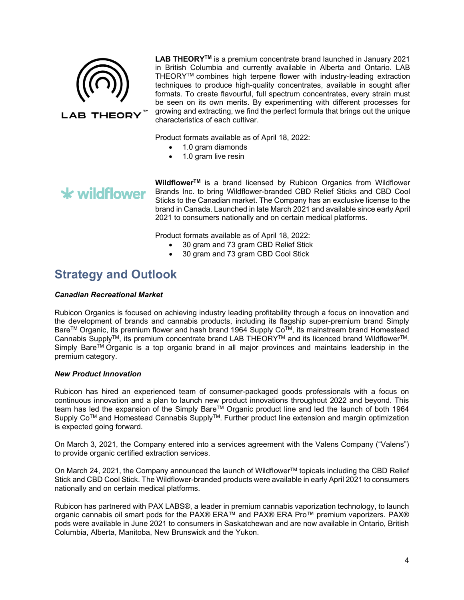

**LAB THEORYTM** is a premium concentrate brand launched in January 2021 in British Columbia and currently available in Alberta and Ontario. LAB THEORY™ combines high terpene flower with industry-leading extraction techniques to produce high-quality concentrates, available in sought after formats. To create flavourful, full spectrum concentrates, every strain must be seen on its own merits. By experimenting with different processes for growing and extracting, we find the perfect formula that brings out the unique characteristics of each cultivar.

Product formats available as of April 18, 2022:

• 1.0 gram diamonds

• 1.0 gram live resin

# $\star$  wildflower

**WildflowerTM** is a brand licensed by Rubicon Organics from Wildflower Brands Inc. to bring Wildflower-branded CBD Relief Sticks and CBD Cool Sticks to the Canadian market. The Company has an exclusive license to the brand in Canada. Launched in late March 2021 and available since early April 2021 to consumers nationally and on certain medical platforms.

Product formats available as of April 18, 2022:

- 30 gram and 73 gram CBD Relief Stick
- 30 gram and 73 gram CBD Cool Stick

# **Strategy and Outlook**

#### *Canadian Recreational Market*

Rubicon Organics is focused on achieving industry leading profitability through a focus on innovation and the development of brands and cannabis products, including its flagship super-premium brand Simply Bare™ Organic, its premium flower and hash brand 1964 Supply Co<sup>™</sup>, its mainstream brand Homestead Cannabis Supply<sup>TM</sup>, its premium concentrate brand LAB THEORY<sup>TM</sup> and its licenced brand Wildflower<sup>TM</sup>. Simply Bare<sup>TM</sup> Organic is a top organic brand in all major provinces and maintains leadership in the premium category.

#### *New Product Innovation*

Rubicon has hired an experienced team of consumer-packaged goods professionals with a focus on continuous innovation and a plan to launch new product innovations throughout 2022 and beyond. This team has led the expansion of the Simply Bare™ Organic product line and led the launch of both 1964 Supply Co™ and Homestead Cannabis Supply™. Further product line extension and margin optimization is expected going forward.

On March 3, 2021, the Company entered into a services agreement with the Valens Company ("Valens") to provide organic certified extraction services.

On March 24, 2021, the Company announced the launch of Wildflower™ topicals including the CBD Relief Stick and CBD Cool Stick. The Wildflower-branded products were available in early April 2021 to consumers nationally and on certain medical platforms.

Rubicon has partnered with PAX LABS®, a leader in premium cannabis vaporization technology, to launch organic cannabis oil smart pods for the PAX® ERA™ and PAX® ERA Pro™ premium vaporizers. PAX® pods were available in June 2021 to consumers in Saskatchewan and are now available in Ontario, British Columbia, Alberta, Manitoba, New Brunswick and the Yukon.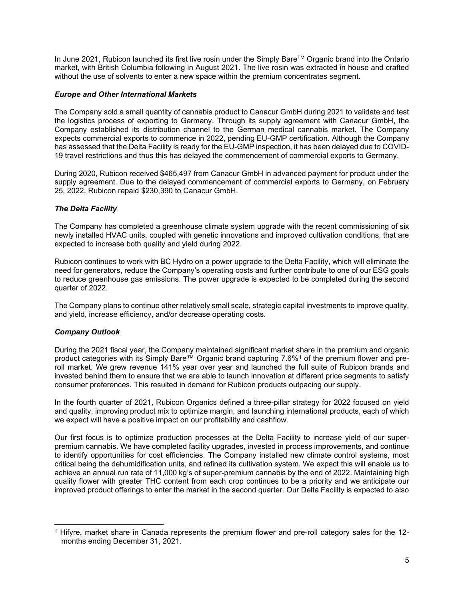In June 2021, Rubicon launched its first live rosin under the Simply Bare™ Organic brand into the Ontario market, with British Columbia following in August 2021. The live rosin was extracted in house and crafted without the use of solvents to enter a new space within the premium concentrates segment.

#### *Europe and Other International Markets*

The Company sold a small quantity of cannabis product to Canacur GmbH during 2021 to validate and test the logistics process of exporting to Germany. Through its supply agreement with Canacur GmbH, the Company established its distribution channel to the German medical cannabis market. The Company expects commercial exports to commence in 2022, pending EU-GMP certification. Although the Company has assessed that the Delta Facility is ready for the EU-GMP inspection, it has been delayed due to COVID-19 travel restrictions and thus this has delayed the commencement of commercial exports to Germany.

During 2020, Rubicon received \$465,497 from Canacur GmbH in advanced payment for product under the supply agreement. Due to the delayed commencement of commercial exports to Germany, on February 25, 2022, Rubicon repaid \$230,390 to Canacur GmbH.

#### *The Delta Facility*

The Company has completed a greenhouse climate system upgrade with the recent commissioning of six newly installed HVAC units, coupled with genetic innovations and improved cultivation conditions, that are expected to increase both quality and yield during 2022.

Rubicon continues to work with BC Hydro on a power upgrade to the Delta Facility, which will eliminate the need for generators, reduce the Company's operating costs and further contribute to one of our ESG goals to reduce greenhouse gas emissions. The power upgrade is expected to be completed during the second quarter of 2022.

The Company plans to continue other relatively small scale, strategic capital investments to improve quality, and yield, increase efficiency, and/or decrease operating costs.

#### *Company Outlook*

During the 2021 fiscal year, the Company maintained significant market share in the premium and organic product categories with its Simply Bare™ Organic brand capturing 7.6%<sup>[1](#page-5-0)</sup> of the premium flower and preroll market. We grew revenue 141% year over year and launched the full suite of Rubicon brands and invested behind them to ensure that we are able to launch innovation at different price segments to satisfy consumer preferences. This resulted in demand for Rubicon products outpacing our supply.

In the fourth quarter of 2021, Rubicon Organics defined a three-pillar strategy for 2022 focused on yield and quality, improving product mix to optimize margin, and launching international products, each of which we expect will have a positive impact on our profitability and cashflow.

Our first focus is to optimize production processes at the Delta Facility to increase yield of our superpremium cannabis. We have completed facility upgrades, invested in process improvements, and continue to identify opportunities for cost efficiencies. The Company installed new climate control systems, most critical being the dehumidification units, and refined its cultivation system. We expect this will enable us to achieve an annual run rate of 11,000 kg's of super-premium cannabis by the end of 2022. Maintaining high quality flower with greater THC content from each crop continues to be a priority and we anticipate our improved product offerings to enter the market in the second quarter. Our Delta Facility is expected to also

<span id="page-5-0"></span><sup>1</sup> Hifyre, market share in Canada represents the premium flower and pre-roll category sales for the 12 months ending December 31, 2021.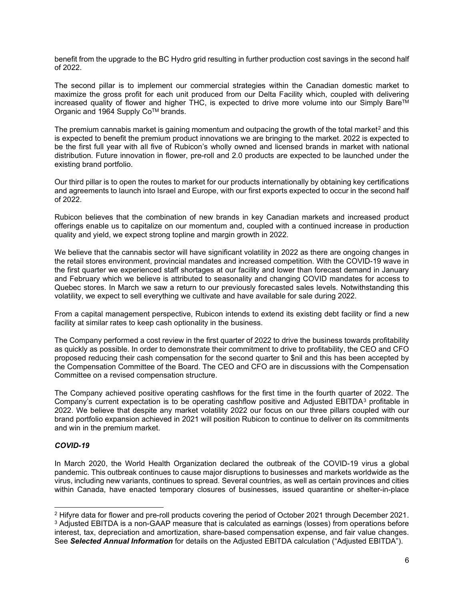benefit from the upgrade to the BC Hydro grid resulting in further production cost savings in the second half of 2022.

The second pillar is to implement our commercial strategies within the Canadian domestic market to maximize the gross profit for each unit produced from our Delta Facility which, coupled with delivering increased quality of flower and higher THC, is expected to drive more volume into our Simply Bare™ Organic and 1964 Supply Co™ brands.

The premium cannabis market is gaining momentum and outpacing the growth of the total market<sup>[2](#page-6-0)</sup> and this is expected to benefit the premium product innovations we are bringing to the market. 2022 is expected to be the first full year with all five of Rubicon's wholly owned and licensed brands in market with national distribution. Future innovation in flower, pre-roll and 2.0 products are expected to be launched under the existing brand portfolio.

Our third pillar is to open the routes to market for our products internationally by obtaining key certifications and agreements to launch into Israel and Europe, with our first exports expected to occur in the second half of 2022.

Rubicon believes that the combination of new brands in key Canadian markets and increased product offerings enable us to capitalize on our momentum and, coupled with a continued increase in production quality and yield, we expect strong topline and margin growth in 2022.

We believe that the cannabis sector will have significant volatility in 2022 as there are ongoing changes in the retail stores environment, provincial mandates and increased competition. With the COVID-19 wave in the first quarter we experienced staff shortages at our facility and lower than forecast demand in January and February which we believe is attributed to seasonality and changing COVID mandates for access to Quebec stores. In March we saw a return to our previously forecasted sales levels. Notwithstanding this volatility, we expect to sell everything we cultivate and have available for sale during 2022.

From a capital management perspective, Rubicon intends to extend its existing debt facility or find a new facility at similar rates to keep cash optionality in the business.

The Company performed a cost review in the first quarter of 2022 to drive the business towards profitability as quickly as possible. In order to demonstrate their commitment to drive to profitability, the CEO and CFO proposed reducing their cash compensation for the second quarter to \$nil and this has been accepted by the Compensation Committee of the Board. The CEO and CFO are in discussions with the Compensation Committee on a revised compensation structure.

The Company achieved positive operating cashflows for the first time in the fourth quarter of 2022. The Company's current expectation is to be operating cashflow positive and Adjusted EBITDA<sup>[3](#page-6-1)</sup> profitable in 2022. We believe that despite any market volatility 2022 our focus on our three pillars coupled with our brand portfolio expansion achieved in 2021 will position Rubicon to continue to deliver on its commitments and win in the premium market.

#### *COVID-19*

In March 2020, the World Health Organization declared the outbreak of the COVID-19 virus a global pandemic. This outbreak continues to cause major disruptions to businesses and markets worldwide as the virus, including new variants, continues to spread. Several countries, as well as certain provinces and cities within Canada, have enacted temporary closures of businesses, issued quarantine or shelter-in-place

<span id="page-6-1"></span><span id="page-6-0"></span><sup>2</sup> Hifyre data for flower and pre-roll products covering the period of October 2021 through December 2021. <sup>3</sup> Adjusted EBITDA is a non-GAAP measure that is calculated as earnings (losses) from operations before interest, tax, depreciation and amortization, share-based compensation expense, and fair value changes. See *Selected Annual Information* for details on the Adjusted EBITDA calculation ("Adjusted EBITDA").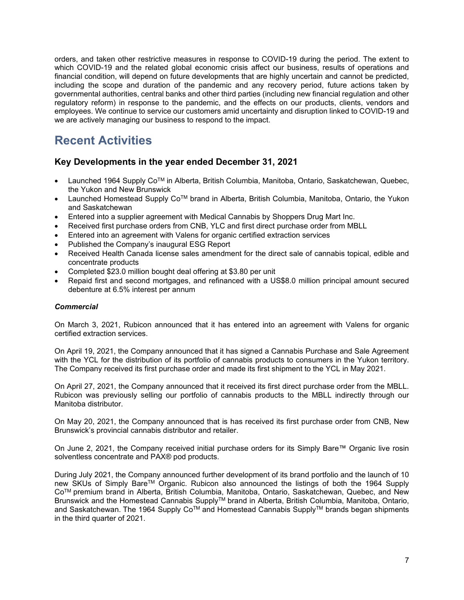orders, and taken other restrictive measures in response to COVID-19 during the period. The extent to which COVID-19 and the related global economic crisis affect our business, results of operations and financial condition, will depend on future developments that are highly uncertain and cannot be predicted, including the scope and duration of the pandemic and any recovery period, future actions taken by governmental authorities, central banks and other third parties (including new financial regulation and other regulatory reform) in response to the pandemic, and the effects on our products, clients, vendors and employees. We continue to service our customers amid uncertainty and disruption linked to COVID-19 and we are actively managing our business to respond to the impact.

# **Recent Activities**

### **Key Developments in the year ended December 31, 2021**

- Launched 1964 Supply CoTM in Alberta, British Columbia, Manitoba, Ontario, Saskatchewan, Quebec, the Yukon and New Brunswick
- Launched Homestead Supply Co<sup>™</sup> brand in Alberta, British Columbia, Manitoba, Ontario, the Yukon and Saskatchewan
- Entered into a supplier agreement with Medical Cannabis by Shoppers Drug Mart Inc.
- Received first purchase orders from CNB, YLC and first direct purchase order from MBLL
- Entered into an agreement with Valens for organic certified extraction services
- Published the Company's inaugural ESG Report
- Received Health Canada license sales amendment for the direct sale of cannabis topical, edible and concentrate products
- Completed \$23.0 million bought deal offering at \$3.80 per unit
- Repaid first and second mortgages, and refinanced with a US\$8.0 million principal amount secured debenture at 6.5% interest per annum

#### *Commercial*

On March 3, 2021, Rubicon announced that it has entered into an agreement with Valens for organic certified extraction services.

On April 19, 2021, the Company announced that it has signed a Cannabis Purchase and Sale Agreement with the YCL for the distribution of its portfolio of cannabis products to consumers in the Yukon territory. The Company received its first purchase order and made its first shipment to the YCL in May 2021.

On April 27, 2021, the Company announced that it received its first direct purchase order from the MBLL. Rubicon was previously selling our portfolio of cannabis products to the MBLL indirectly through our Manitoba distributor.

On May 20, 2021, the Company announced that is has received its first purchase order from CNB, New Brunswick's provincial cannabis distributor and retailer.

On June 2, 2021, the Company received initial purchase orders for its Simply Bare™ Organic live rosin solventless concentrate and PAX® pod products.

During July 2021, the Company announced further development of its brand portfolio and the launch of 10 new SKUs of Simply BareTM Organic. Rubicon also announced the listings of both the 1964 Supply CoTM premium brand in Alberta, British Columbia, Manitoba, Ontario, Saskatchewan, Quebec, and New Brunswick and the Homestead Cannabis SupplyTM brand in Alberta, British Columbia, Manitoba, Ontario, and Saskatchewan. The 1964 Supply Co™ and Homestead Cannabis Supply™ brands began shipments in the third quarter of 2021.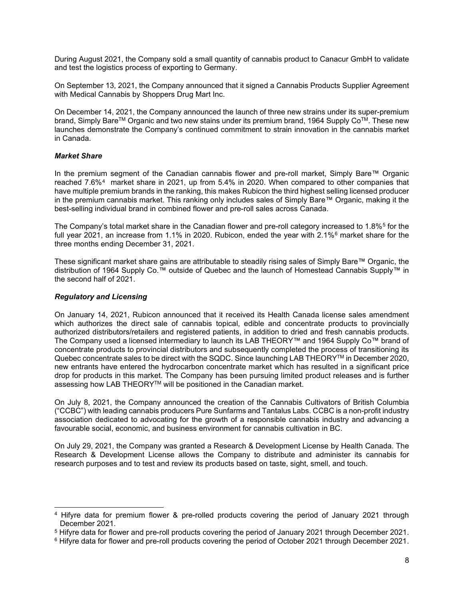During August 2021, the Company sold a small quantity of cannabis product to Canacur GmbH to validate and test the logistics process of exporting to Germany.

On September 13, 2021, the Company announced that it signed a Cannabis Products Supplier Agreement with Medical Cannabis by Shoppers Drug Mart Inc.

On December 14, 2021, the Company announced the launch of three new strains under its super-premium brand, Simply Bare™ Organic and two new stains under its premium brand, 1964 Supply Co™. These new launches demonstrate the Company's continued commitment to strain innovation in the cannabis market in Canada.

#### *Market Share*

In the premium segment of the Canadian cannabis flower and pre-roll market, Simply Bare™ Organic reached 7.6%[4](#page-8-0) market share in 2021, up from 5.4% in 2020. When compared to other companies that have multiple premium brands in the ranking, this makes Rubicon the third highest selling licensed producer in the premium cannabis market. This ranking only includes sales of Simply Bare™ Organic, making it the best-selling individual brand in combined flower and pre-roll sales across Canada.

The Company's total market share in the Canadian flower and pre-roll category increased to 1.8%<sup>[5](#page-8-1)</sup> for the full year 2021, an increase from 1.1% in 2020. Rubicon, ended the year with 2.1%<sup>[6](#page-8-2)</sup> market share for the three months ending December 31, 2021.

These significant market share gains are attributable to steadily rising sales of Simply Bare™ Organic, the distribution of 1964 Supply Co.™ outside of Quebec and the launch of Homestead Cannabis Supply™ in the second half of 2021.

#### *Regulatory and Licensing*

On January 14, 2021, Rubicon announced that it received its Health Canada license sales amendment which authorizes the direct sale of cannabis topical, edible and concentrate products to provincially authorized distributors/retailers and registered patients, in addition to dried and fresh cannabis products. The Company used a licensed intermediary to launch its LAB THEORY™ and 1964 Supply Co™ brand of concentrate products to provincial distributors and subsequently completed the process of transitioning its Quebec concentrate sales to be direct with the SQDC. Since launching LAB THEORY™ in December 2020, new entrants have entered the hydrocarbon concentrate market which has resulted in a significant price drop for products in this market. The Company has been pursuing limited product releases and is further assessing how LAB THEORY™ will be positioned in the Canadian market.

On July 8, 2021, the Company announced the creation of the Cannabis Cultivators of British Columbia ("CCBC") with leading cannabis producers Pure Sunfarms and Tantalus Labs. CCBC is a non-profit industry association dedicated to advocating for the growth of a responsible cannabis industry and advancing a favourable social, economic, and business environment for cannabis cultivation in BC.

On July 29, 2021, the Company was granted a Research & Development License by Health Canada. The Research & Development License allows the Company to distribute and administer its cannabis for research purposes and to test and review its products based on taste, sight, smell, and touch.

<span id="page-8-0"></span><sup>4</sup> Hifyre data for premium flower & pre-rolled products covering the period of January 2021 through December 2021.

<span id="page-8-1"></span><sup>5</sup> Hifyre data for flower and pre-roll products covering the period of January 2021 through December 2021.

<span id="page-8-2"></span><sup>6</sup> Hifyre data for flower and pre-roll products covering the period of October 2021 through December 2021.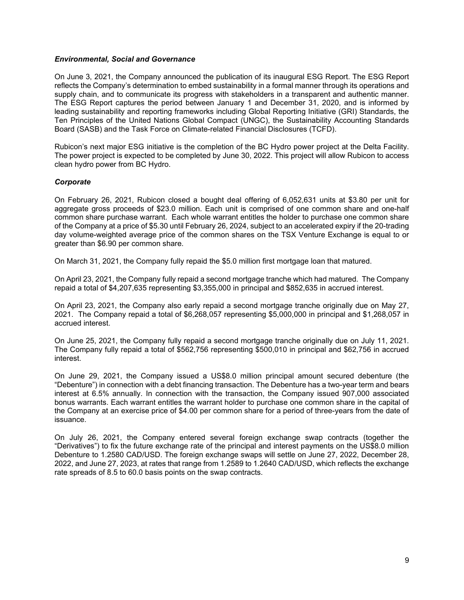#### *Environmental, Social and Governance*

On June 3, 2021, the Company announced the publication of its inaugural ESG Report. The ESG Report reflects the Company's determination to embed sustainability in a formal manner through its operations and supply chain, and to communicate its progress with stakeholders in a transparent and authentic manner. The ESG Report captures the period between January 1 and December 31, 2020, and is informed by leading sustainability and reporting frameworks including Global Reporting Initiative (GRI) Standards, the Ten Principles of the United Nations Global Compact (UNGC), the Sustainability Accounting Standards Board (SASB) and the Task Force on Climate-related Financial Disclosures (TCFD).

Rubicon's next major ESG initiative is the completion of the BC Hydro power project at the Delta Facility. The power project is expected to be completed by June 30, 2022. This project will allow Rubicon to access clean hydro power from BC Hydro.

#### *Corporate*

On February 26, 2021, Rubicon closed a bought deal offering of 6,052,631 units at \$3.80 per unit for aggregate gross proceeds of \$23.0 million. Each unit is comprised of one common share and one-half common share purchase warrant. Each whole warrant entitles the holder to purchase one common share of the Company at a price of \$5.30 until February 26, 2024, subject to an accelerated expiry if the 20-trading day volume-weighted average price of the common shares on the TSX Venture Exchange is equal to or greater than \$6.90 per common share.

On March 31, 2021, the Company fully repaid the \$5.0 million first mortgage loan that matured.

On April 23, 2021, the Company fully repaid a second mortgage tranche which had matured. The Company repaid a total of \$4,207,635 representing \$3,355,000 in principal and \$852,635 in accrued interest.

On April 23, 2021, the Company also early repaid a second mortgage tranche originally due on May 27, 2021. The Company repaid a total of \$6,268,057 representing \$5,000,000 in principal and \$1,268,057 in accrued interest.

On June 25, 2021, the Company fully repaid a second mortgage tranche originally due on July 11, 2021. The Company fully repaid a total of \$562,756 representing \$500,010 in principal and \$62,756 in accrued interest.

On June 29, 2021, the Company issued a US\$8.0 million principal amount secured debenture (the "Debenture") in connection with a debt financing transaction. The Debenture has a two-year term and bears interest at 6.5% annually. In connection with the transaction, the Company issued 907,000 associated bonus warrants. Each warrant entitles the warrant holder to purchase one common share in the capital of the Company at an exercise price of \$4.00 per common share for a period of three-years from the date of issuance.

On July 26, 2021, the Company entered several foreign exchange swap contracts (together the "Derivatives") to fix the future exchange rate of the principal and interest payments on the US\$8.0 million Debenture to 1.2580 CAD/USD. The foreign exchange swaps will settle on June 27, 2022, December 28, 2022, and June 27, 2023, at rates that range from 1.2589 to 1.2640 CAD/USD, which reflects the exchange rate spreads of 8.5 to 60.0 basis points on the swap contracts.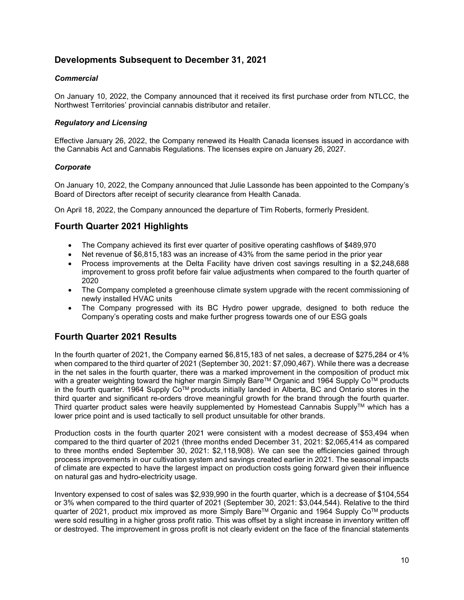### **Developments Subsequent to December 31, 2021**

#### *Commercial*

On January 10, 2022, the Company announced that it received its first purchase order from NTLCC, the Northwest Territories' provincial cannabis distributor and retailer.

#### *Regulatory and Licensing*

Effective January 26, 2022, the Company renewed its Health Canada licenses issued in accordance with the Cannabis Act and Cannabis Regulations. The licenses expire on January 26, 2027.

#### *Corporate*

On January 10, 2022, the Company announced that Julie Lassonde has been appointed to the Company's Board of Directors after receipt of security clearance from Health Canada.

On April 18, 2022, the Company announced the departure of Tim Roberts, formerly President.

### **Fourth Quarter 2021 Highlights**

- The Company achieved its first ever quarter of positive operating cashflows of \$489,970
- Net revenue of \$6,815,183 was an increase of 43% from the same period in the prior year
- Process improvements at the Delta Facility have driven cost savings resulting in a \$2,248,688 improvement to gross profit before fair value adjustments when compared to the fourth quarter of 2020
- The Company completed a greenhouse climate system upgrade with the recent commissioning of newly installed HVAC units
- The Company progressed with its BC Hydro power upgrade, designed to both reduce the Company's operating costs and make further progress towards one of our ESG goals

### **Fourth Quarter 2021 Results**

In the fourth quarter of 2021, the Company earned \$6,815,183 of net sales, a decrease of \$275,284 or 4% when compared to the third quarter of 2021 (September 30, 2021: \$7,090,467). While there was a decrease in the net sales in the fourth quarter, there was a marked improvement in the composition of product mix with a greater weighting toward the higher margin Simply Bare™ Organic and 1964 Supply Co<sup>™</sup> products in the fourth quarter. 1964 Supply CoTM products initially landed in Alberta, BC and Ontario stores in the third quarter and significant re-orders drove meaningful growth for the brand through the fourth quarter. Third quarter product sales were heavily supplemented by Homestead Cannabis Supply<sup>TM</sup> which has a lower price point and is used tactically to sell product unsuitable for other brands.

Production costs in the fourth quarter 2021 were consistent with a modest decrease of \$53,494 when compared to the third quarter of 2021 (three months ended December 31, 2021: \$2,065,414 as compared to three months ended September 30, 2021: \$2,118,908). We can see the efficiencies gained through process improvements in our cultivation system and savings created earlier in 2021. The seasonal impacts of climate are expected to have the largest impact on production costs going forward given their influence on natural gas and hydro-electricity usage.

Inventory expensed to cost of sales was \$2,939,990 in the fourth quarter, which is a decrease of \$104,554 or 3% when compared to the third quarter of 2021 (September 30, 2021: \$3,044,544). Relative to the third quarter of 2021, product mix improved as more Simply Bare™ Organic and 1964 Supply Co<sup>™</sup> products were sold resulting in a higher gross profit ratio. This was offset by a slight increase in inventory written off or destroyed. The improvement in gross profit is not clearly evident on the face of the financial statements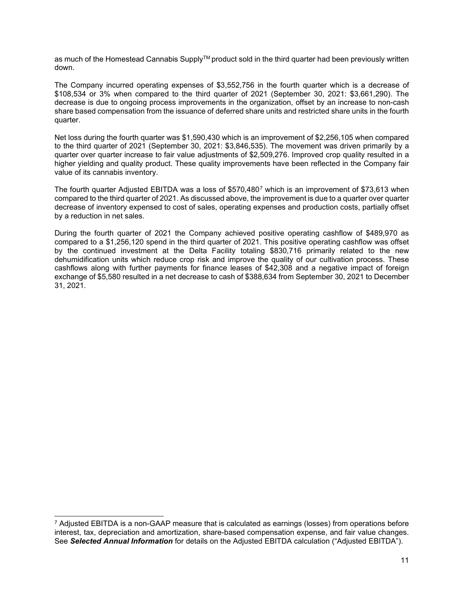as much of the Homestead Cannabis Supply™ product sold in the third quarter had been previously written down.

The Company incurred operating expenses of \$3,552,756 in the fourth quarter which is a decrease of \$108,534 or 3% when compared to the third quarter of 2021 (September 30, 2021: \$3,661,290). The decrease is due to ongoing process improvements in the organization, offset by an increase to non-cash share based compensation from the issuance of deferred share units and restricted share units in the fourth quarter.

Net loss during the fourth quarter was \$1,590,430 which is an improvement of \$2,256,105 when compared to the third quarter of 2021 (September 30, 2021: \$3,846,535). The movement was driven primarily by a quarter over quarter increase to fair value adjustments of \$2,509,276. Improved crop quality resulted in a higher yielding and quality product. These quality improvements have been reflected in the Company fair value of its cannabis inventory.

The fourth quarter Adjusted EBITDA was a loss of \$5[7](#page-11-0)0,480<sup>7</sup> which is an improvement of \$73,613 when compared to the third quarter of 2021. As discussed above, the improvement is due to a quarter over quarter decrease of inventory expensed to cost of sales, operating expenses and production costs, partially offset by a reduction in net sales.

During the fourth quarter of 2021 the Company achieved positive operating cashflow of \$489,970 as compared to a \$1,256,120 spend in the third quarter of 2021. This positive operating cashflow was offset by the continued investment at the Delta Facility totaling \$830,716 primarily related to the new dehumidification units which reduce crop risk and improve the quality of our cultivation process. These cashflows along with further payments for finance leases of \$42,308 and a negative impact of foreign exchange of \$5,580 resulted in a net decrease to cash of \$388,634 from September 30, 2021 to December 31, 2021.

<span id="page-11-0"></span> $7$  Adjusted EBITDA is a non-GAAP measure that is calculated as earnings (losses) from operations before interest, tax, depreciation and amortization, share-based compensation expense, and fair value changes. See *Selected Annual Information* for details on the Adjusted EBITDA calculation ("Adjusted EBITDA").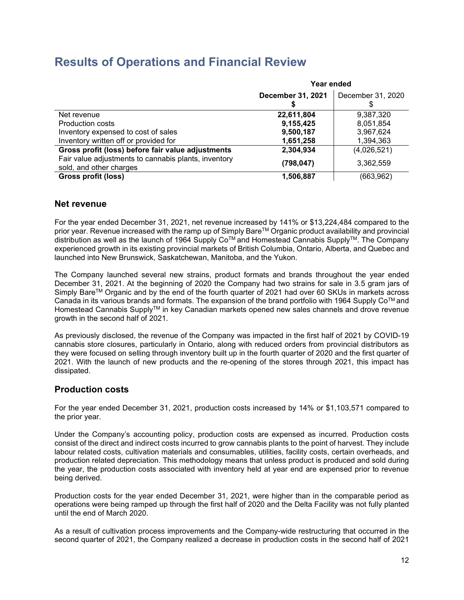# **Results of Operations and Financial Review**

|                                                                                 | Year ended        |                   |  |
|---------------------------------------------------------------------------------|-------------------|-------------------|--|
|                                                                                 | December 31, 2021 | December 31, 2020 |  |
| Net revenue                                                                     | 22,611,804        | 9,387,320         |  |
| Production costs                                                                | 9,155,425         | 8,051,854         |  |
| Inventory expensed to cost of sales                                             | 9,500,187         | 3,967,624         |  |
| Inventory written off or provided for                                           | 1,651,258         | 1,394,363         |  |
| Gross profit (loss) before fair value adjustments                               | 2,304,934         | (4,026,521)       |  |
| Fair value adjustments to cannabis plants, inventory<br>sold, and other charges | (798, 047)        | 3,362,559         |  |
| Gross profit (loss)                                                             | 1,506,887         | (663, 962)        |  |

### **Net revenue**

For the year ended December 31, 2021, net revenue increased by 141% or \$13,224,484 compared to the prior year. Revenue increased with the ramp up of Simply Bare™ Organic product availability and provincial distribution as well as the launch of 1964 Supply Co<sup>™</sup> and Homestead Cannabis Supply<sup>™</sup>. The Company experienced growth in its existing provincial markets of British Columbia, Ontario, Alberta, and Quebec and launched into New Brunswick, Saskatchewan, Manitoba, and the Yukon.

The Company launched several new strains, product formats and brands throughout the year ended December 31, 2021. At the beginning of 2020 the Company had two strains for sale in 3.5 gram jars of Simply Bare™ Organic and by the end of the fourth quarter of 2021 had over 60 SKUs in markets across Canada in its various brands and formats. The expansion of the brand portfolio with 1964 Supply CoTM and Homestead Cannabis Supply™ in key Canadian markets opened new sales channels and drove revenue growth in the second half of 2021.

As previously disclosed, the revenue of the Company was impacted in the first half of 2021 by COVID-19 cannabis store closures, particularly in Ontario, along with reduced orders from provincial distributors as they were focused on selling through inventory built up in the fourth quarter of 2020 and the first quarter of 2021. With the launch of new products and the re-opening of the stores through 2021, this impact has dissipated.

### **Production costs**

For the year ended December 31, 2021, production costs increased by 14% or \$1,103,571 compared to the prior year.

Under the Company's accounting policy, production costs are expensed as incurred. Production costs consist of the direct and indirect costs incurred to grow cannabis plants to the point of harvest. They include labour related costs, cultivation materials and consumables, utilities, facility costs, certain overheads, and production related depreciation. This methodology means that unless product is produced and sold during the year, the production costs associated with inventory held at year end are expensed prior to revenue being derived.

Production costs for the year ended December 31, 2021, were higher than in the comparable period as operations were being ramped up through the first half of 2020 and the Delta Facility was not fully planted until the end of March 2020.

As a result of cultivation process improvements and the Company-wide restructuring that occurred in the second quarter of 2021, the Company realized a decrease in production costs in the second half of 2021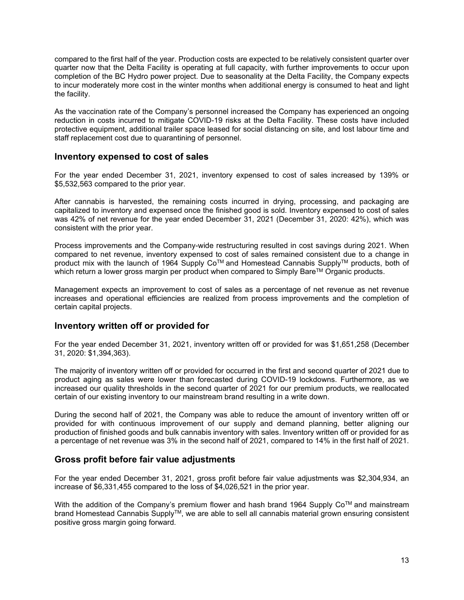compared to the first half of the year. Production costs are expected to be relatively consistent quarter over quarter now that the Delta Facility is operating at full capacity, with further improvements to occur upon completion of the BC Hydro power project. Due to seasonality at the Delta Facility, the Company expects to incur moderately more cost in the winter months when additional energy is consumed to heat and light the facility.

As the vaccination rate of the Company's personnel increased the Company has experienced an ongoing reduction in costs incurred to mitigate COVID-19 risks at the Delta Facility. These costs have included protective equipment, additional trailer space leased for social distancing on site, and lost labour time and staff replacement cost due to quarantining of personnel.

### **Inventory expensed to cost of sales**

For the year ended December 31, 2021, inventory expensed to cost of sales increased by 139% or \$5,532,563 compared to the prior year.

After cannabis is harvested, the remaining costs incurred in drying, processing, and packaging are capitalized to inventory and expensed once the finished good is sold. Inventory expensed to cost of sales was 42% of net revenue for the year ended December 31, 2021 (December 31, 2020: 42%), which was consistent with the prior year.

Process improvements and the Company-wide restructuring resulted in cost savings during 2021. When compared to net revenue, inventory expensed to cost of sales remained consistent due to a change in product mix with the launch of 1964 Supply Co™ and Homestead Cannabis Supply™ products, both of which return a lower gross margin per product when compared to Simply Bare™ Organic products.

Management expects an improvement to cost of sales as a percentage of net revenue as net revenue increases and operational efficiencies are realized from process improvements and the completion of certain capital projects.

### **Inventory written off or provided for**

For the year ended December 31, 2021, inventory written off or provided for was \$1,651,258 (December 31, 2020: \$1,394,363).

The majority of inventory written off or provided for occurred in the first and second quarter of 2021 due to product aging as sales were lower than forecasted during COVID-19 lockdowns. Furthermore, as we increased our quality thresholds in the second quarter of 2021 for our premium products, we reallocated certain of our existing inventory to our mainstream brand resulting in a write down.

During the second half of 2021, the Company was able to reduce the amount of inventory written off or provided for with continuous improvement of our supply and demand planning, better aligning our production of finished goods and bulk cannabis inventory with sales. Inventory written off or provided for as a percentage of net revenue was 3% in the second half of 2021, compared to 14% in the first half of 2021.

### **Gross profit before fair value adjustments**

For the year ended December 31, 2021, gross profit before fair value adjustments was \$2,304,934, an increase of \$6,331,455 compared to the loss of \$4,026,521 in the prior year.

With the addition of the Company's premium flower and hash brand 1964 Supply  $Co^{TM}$  and mainstream brand Homestead Cannabis SupplyTM, we are able to sell all cannabis material grown ensuring consistent positive gross margin going forward.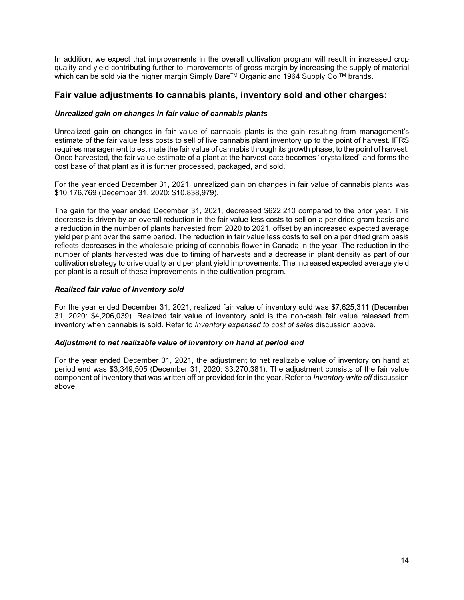In addition, we expect that improvements in the overall cultivation program will result in increased crop quality and yield contributing further to improvements of gross margin by increasing the supply of material which can be sold via the higher margin Simply Bare™ Organic and 1964 Supply Co.<sup>™</sup> brands.

### **Fair value adjustments to cannabis plants, inventory sold and other charges:**

#### *Unrealized gain on changes in fair value of cannabis plants*

Unrealized gain on changes in fair value of cannabis plants is the gain resulting from management's estimate of the fair value less costs to sell of live cannabis plant inventory up to the point of harvest. IFRS requires management to estimate the fair value of cannabis through its growth phase, to the point of harvest. Once harvested, the fair value estimate of a plant at the harvest date becomes "crystallized" and forms the cost base of that plant as it is further processed, packaged, and sold.

For the year ended December 31, 2021, unrealized gain on changes in fair value of cannabis plants was \$10,176,769 (December 31, 2020: \$10,838,979).

The gain for the year ended December 31, 2021, decreased \$622,210 compared to the prior year. This decrease is driven by an overall reduction in the fair value less costs to sell on a per dried gram basis and a reduction in the number of plants harvested from 2020 to 2021, offset by an increased expected average yield per plant over the same period. The reduction in fair value less costs to sell on a per dried gram basis reflects decreases in the wholesale pricing of cannabis flower in Canada in the year. The reduction in the number of plants harvested was due to timing of harvests and a decrease in plant density as part of our cultivation strategy to drive quality and per plant yield improvements. The increased expected average yield per plant is a result of these improvements in the cultivation program.

#### *Realized fair value of inventory sold*

For the year ended December 31, 2021, realized fair value of inventory sold was \$7,625,311 (December 31, 2020: \$4,206,039). Realized fair value of inventory sold is the non-cash fair value released from inventory when cannabis is sold. Refer to *Inventory expensed to cost of sales* discussion above.

#### *Adjustment to net realizable value of inventory on hand at period end*

For the year ended December 31, 2021, the adjustment to net realizable value of inventory on hand at period end was \$3,349,505 (December 31, 2020: \$3,270,381). The adjustment consists of the fair value component of inventory that was written off or provided for in the year. Refer to *Inventory write off* discussion above.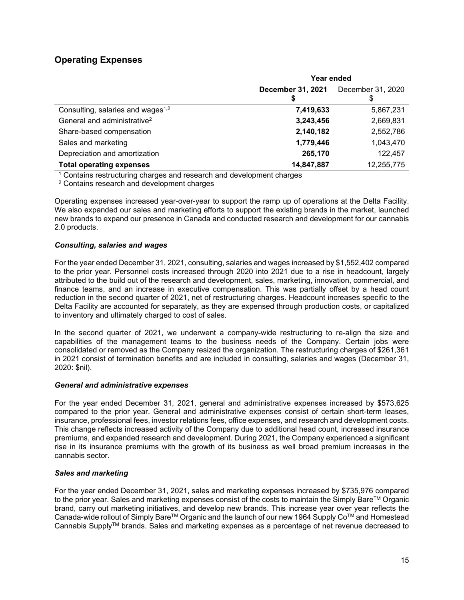### **Operating Expenses**

|                                               | Year ended        |                   |  |
|-----------------------------------------------|-------------------|-------------------|--|
|                                               | December 31, 2021 | December 31, 2020 |  |
|                                               |                   |                   |  |
| Consulting, salaries and wages <sup>1,2</sup> | 7,419,633         | 5,867,231         |  |
| General and administrative <sup>2</sup>       | 3,243,456         | 2,669,831         |  |
| Share-based compensation                      | 2,140,182         | 2,552,786         |  |
| Sales and marketing                           | 1,779,446         | 1,043,470         |  |
| Depreciation and amortization                 | 265,170           | 122,457           |  |
| <b>Total operating expenses</b>               | 14,847,887        | 12,255,775        |  |

<sup>1</sup> Contains restructuring charges and research and development charges

<sup>2</sup> Contains research and development charges

Operating expenses increased year-over-year to support the ramp up of operations at the Delta Facility. We also expanded our sales and marketing efforts to support the existing brands in the market, launched new brands to expand our presence in Canada and conducted research and development for our cannabis 2.0 products.

#### *Consulting, salaries and wages*

For the year ended December 31, 2021, consulting, salaries and wages increased by \$1,552,402 compared to the prior year. Personnel costs increased through 2020 into 2021 due to a rise in headcount, largely attributed to the build out of the research and development, sales, marketing, innovation, commercial, and finance teams, and an increase in executive compensation. This was partially offset by a head count reduction in the second quarter of 2021, net of restructuring charges. Headcount increases specific to the Delta Facility are accounted for separately, as they are expensed through production costs, or capitalized to inventory and ultimately charged to cost of sales.

In the second quarter of 2021, we underwent a company-wide restructuring to re-align the size and capabilities of the management teams to the business needs of the Company. Certain jobs were consolidated or removed as the Company resized the organization. The restructuring charges of \$261,361 in 2021 consist of termination benefits and are included in consulting, salaries and wages (December 31, 2020: \$nil).

#### *General and administrative expenses*

For the year ended December 31, 2021, general and administrative expenses increased by \$573,625 compared to the prior year. General and administrative expenses consist of certain short-term leases, insurance, professional fees, investor relations fees, office expenses, and research and development costs. This change reflects increased activity of the Company due to additional head count, increased insurance premiums, and expanded research and development. During 2021, the Company experienced a significant rise in its insurance premiums with the growth of its business as well broad premium increases in the cannabis sector.

#### *Sales and marketing*

For the year ended December 31, 2021, sales and marketing expenses increased by \$735,976 compared to the prior year. Sales and marketing expenses consist of the costs to maintain the Simply Bare™ Organic brand, carry out marketing initiatives, and develop new brands. This increase year over year reflects the Canada-wide rollout of Simply Bare™ Organic and the launch of our new 1964 Supply Co™ and Homestead Cannabis SupplyTM brands. Sales and marketing expenses as a percentage of net revenue decreased to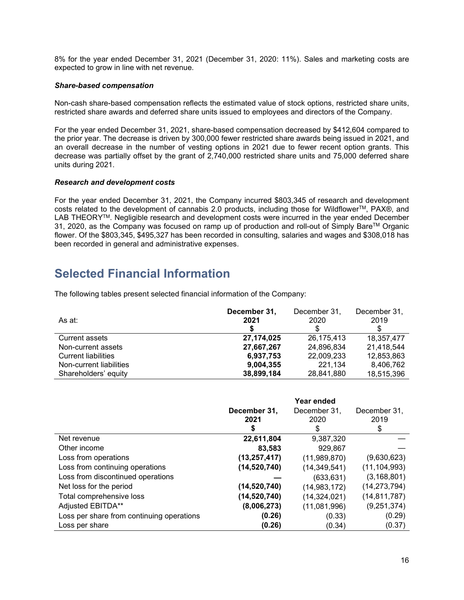8% for the year ended December 31, 2021 (December 31, 2020: 11%). Sales and marketing costs are expected to grow in line with net revenue.

#### *Share-based compensation*

Non-cash share-based compensation reflects the estimated value of stock options, restricted share units, restricted share awards and deferred share units issued to employees and directors of the Company.

For the year ended December 31, 2021, share-based compensation decreased by \$412,604 compared to the prior year. The decrease is driven by 300,000 fewer restricted share awards being issued in 2021, and an overall decrease in the number of vesting options in 2021 due to fewer recent option grants. This decrease was partially offset by the grant of 2,740,000 restricted share units and 75,000 deferred share units during 2021.

#### *Research and development costs*

For the year ended December 31, 2021, the Company incurred \$803,345 of research and development costs related to the development of cannabis 2.0 products, including those for Wildflower™, PAX®, and LAB THEORY<sup>™</sup>. Negligible research and development costs were incurred in the year ended December 31, 2020, as the Company was focused on ramp up of production and roll-out of Simply BareTM Organic flower. Of the \$803,345, \$495,327 has been recorded in consulting, salaries and wages and \$308,018 has been recorded in general and administrative expenses.

# **Selected Financial Information**

The following tables present selected financial information of the Company:

| As at:                     | December 31,<br>2021 | December 31,<br>2020 | December 31,<br>2019 |
|----------------------------|----------------------|----------------------|----------------------|
| <b>Current assets</b>      | 27,174,025           | 26,175,413           | 18,357,477           |
| Non-current assets         | 27,667,267           | 24,896,834           | 21,418,544           |
| <b>Current liabilities</b> | 6,937,753            | 22,009,233           | 12,853,863           |
| Non-current liabilities    | 9,004,355            | 221,134              | 8,406,762            |
| Shareholders' equity       | 38,899,184           | 28,841,880           | 18,515,396           |

|                                           | December 31,<br>2021<br>S | Year ended<br>December 31,<br>2020<br>S | December 31,<br>2019<br>\$ |
|-------------------------------------------|---------------------------|-----------------------------------------|----------------------------|
| Net revenue                               | 22,611,804                | 9,387,320                               |                            |
| Other income                              | 83,583                    | 929,867                                 |                            |
| Loss from operations                      | (13, 257, 417)            | (11,989,870)                            | (9,630,623)                |
| Loss from continuing operations           | (14, 520, 740)            | (14, 349, 541)                          | (11, 104, 993)             |
| Loss from discontinued operations         |                           | (633, 631)                              | (3, 168, 801)              |
| Net loss for the period                   | (14, 520, 740)            | (14,983,172)                            | (14, 273, 794)             |
| Total comprehensive loss                  | (14, 520, 740)            | (14, 324, 021)                          | (14, 811, 787)             |
| Adjusted EBITDA**                         | (8,006,273)               | (11,081,996)                            | (9,251,374)                |
| Loss per share from continuing operations | (0.26)                    | (0.33)                                  | (0.29)                     |
| Loss per share                            | (0.26)                    | (0.34)                                  | (0.37)                     |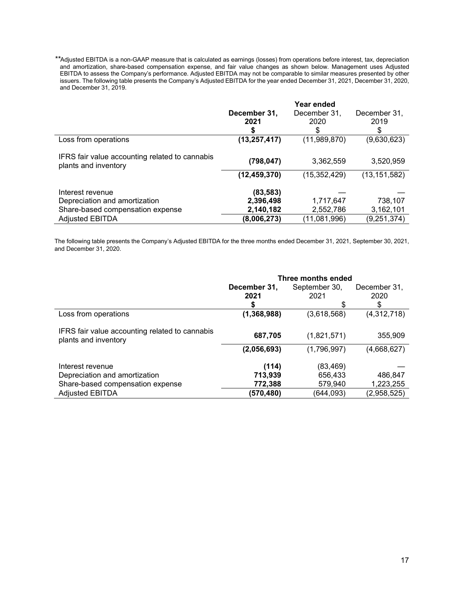*\*\**Adjusted EBITDA is a non-GAAP measure that is calculated as earnings (losses) from operations before interest, tax, depreciation and amortization, share-based compensation expense, and fair value changes as shown below. Management uses Adjusted EBITDA to assess the Company's performance. Adjusted EBITDA may not be comparable to similar measures presented by other issuers. The following table presents the Company's Adjusted EBITDA for the year ended December 31, 2021, December 31, 2020, and December 31, 2019.

|                                                                                       | December 31,<br>2021<br>S           | Year ended<br>December 31,<br>2020<br>S | December 31,<br>2019<br>S |
|---------------------------------------------------------------------------------------|-------------------------------------|-----------------------------------------|---------------------------|
| Loss from operations                                                                  | (13, 257, 417)                      | (11,989,870)                            | (9,630,623)               |
| IFRS fair value accounting related to cannabis<br>plants and inventory                | (798, 047)                          | 3,362,559                               | 3,520,959                 |
|                                                                                       | (12, 459, 370)                      | (15, 352, 429)                          | (13, 151, 582)            |
| Interest revenue<br>Depreciation and amortization<br>Share-based compensation expense | (83, 583)<br>2,396,498<br>2,140,182 | 1,717,647<br>2,552,786                  | 738,107<br>3,162,101      |
| <b>Adjusted EBITDA</b>                                                                | (8,006,273)                         | (11,081,996)                            | (9, 251, 374)             |

The following table presents the Company's Adjusted EBITDA for the three months ended December 31, 2021, September 30, 2021, and December 31, 2020.

|                                                                        | Three months ended |              |             |  |
|------------------------------------------------------------------------|--------------------|--------------|-------------|--|
|                                                                        | December 31,       | December 31, |             |  |
|                                                                        | 2021               | 2021         | 2020        |  |
|                                                                        | S                  | S            | \$          |  |
| Loss from operations                                                   | (1,368,988)        | (3,618,568)  | (4,312,718) |  |
| IFRS fair value accounting related to cannabis<br>plants and inventory | 687,705            | (1,821,571)  | 355,909     |  |
|                                                                        | (2,056,693)        | (1,796,997)  | (4,668,627) |  |
| Interest revenue                                                       | (114)              | (83, 469)    |             |  |
| Depreciation and amortization                                          | 713,939            | 656,433      | 486,847     |  |
| Share-based compensation expense                                       | 772,388            | 579,940      | 1,223,255   |  |
| <b>Adjusted EBITDA</b>                                                 | (570,480)          | (644, 093)   | (2,958,525) |  |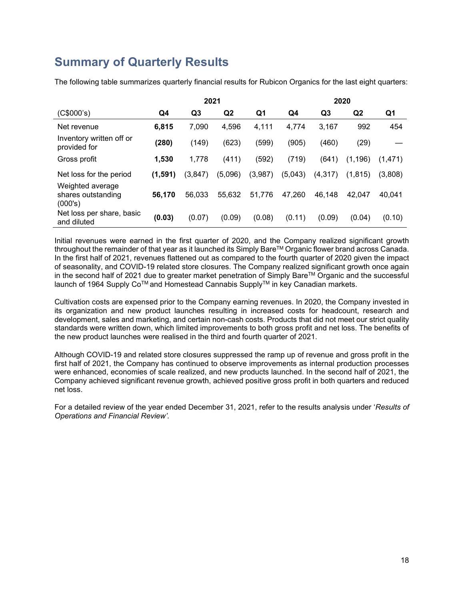# **Summary of Quarterly Results**

The following table summarizes quarterly financial results for Rubicon Organics for the last eight quarters:

|                                                   |         | 2021     |                |         |         | 2020           |                |         |
|---------------------------------------------------|---------|----------|----------------|---------|---------|----------------|----------------|---------|
| (C\$000's)                                        | Q4      | Q3       | Q <sub>2</sub> | Q1      | Q4      | Q <sub>3</sub> | Q <sub>2</sub> | Q1      |
| Net revenue                                       | 6,815   | 7,090    | 4,596          | 4.111   | 4,774   | 3,167          | 992            | 454     |
| Inventory written off or<br>provided for          | (280)   | (149)    | (623)          | (599)   | (905)   | (460)          | (29)           |         |
| Gross profit                                      | 1,530   | 1,778    | (411)          | (592)   | (719)   | (641)          | (1, 196)       | (1.471) |
| Net loss for the period                           | (1,591) | (3, 847) | (5,096)        | (3,987) | (5,043) | (4,317)        | (1, 815)       | (3,808) |
| Weighted average<br>shares outstanding<br>(000's) | 56,170  | 56,033   | 55,632         | 51,776  | 47,260  | 46,148         | 42.047         | 40.041  |
| Net loss per share, basic<br>and diluted          | (0.03)  | (0.07)   | (0.09)         | (0.08)  | (0.11)  | (0.09)         | (0.04)         | (0.10)  |

Initial revenues were earned in the first quarter of 2020, and the Company realized significant growth throughout the remainder of that year as it launched its Simply Bare™ Organic flower brand across Canada. In the first half of 2021, revenues flattened out as compared to the fourth quarter of 2020 given the impact of seasonality, and COVID-19 related store closures. The Company realized significant growth once again in the second half of 2021 due to greater market penetration of Simply Bare™ Organic and the successful launch of 1964 Supply Co™ and Homestead Cannabis Supply™ in key Canadian markets.

Cultivation costs are expensed prior to the Company earning revenues. In 2020, the Company invested in its organization and new product launches resulting in increased costs for headcount, research and development, sales and marketing, and certain non-cash costs. Products that did not meet our strict quality standards were written down, which limited improvements to both gross profit and net loss. The benefits of the new product launches were realised in the third and fourth quarter of 2021.

Although COVID-19 and related store closures suppressed the ramp up of revenue and gross profit in the first half of 2021, the Company has continued to observe improvements as internal production processes were enhanced, economies of scale realized, and new products launched. In the second half of 2021, the Company achieved significant revenue growth, achieved positive gross profit in both quarters and reduced net loss.

For a detailed review of the year ended December 31, 2021, refer to the results analysis under '*Results of Operations and Financial Review'.*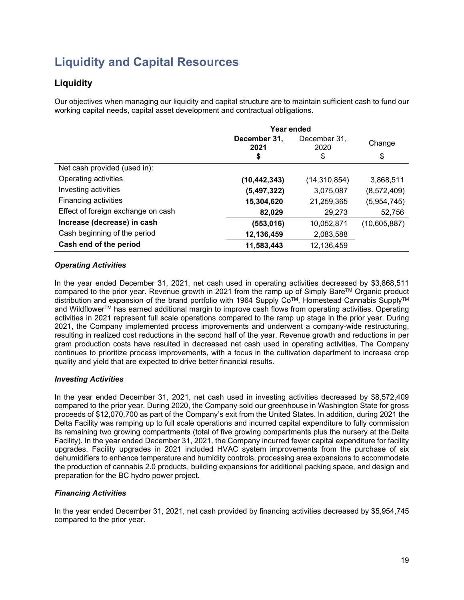# **Liquidity and Capital Resources**

## **Liquidity**

Our objectives when managing our liquidity and capital structure are to maintain sufficient cash to fund our working capital needs, capital asset development and contractual obligations.

|                                    | Year ended           |                      |              |  |
|------------------------------------|----------------------|----------------------|--------------|--|
|                                    | December 31,<br>2021 | December 31,<br>2020 | Change       |  |
|                                    | \$                   | \$                   | \$           |  |
| Net cash provided (used in):       |                      |                      |              |  |
| Operating activities               | (10,442,343)         | (14, 310, 854)       | 3,868,511    |  |
| Investing activities               | (5,497,322)          | 3,075,087            | (8,572,409)  |  |
| Financing activities               | 15,304,620           | 21,259,365           | (5,954,745)  |  |
| Effect of foreign exchange on cash | 82,029               | 29,273               | 52,756       |  |
| Increase (decrease) in cash        | (553, 016)           | 10,052,871           | (10,605,887) |  |
| Cash beginning of the period       | 12,136,459           | 2,083,588            |              |  |
| Cash end of the period             | 11,583,443           | 12,136,459           |              |  |

### *Operating Activities*

In the year ended December 31, 2021, net cash used in operating activities decreased by \$3,868,511 compared to the prior year. Revenue growth in 2021 from the ramp up of Simply Bare™ Organic product distribution and expansion of the brand portfolio with 1964 Supply Co™, Homestead Cannabis Supply™ and Wildflower™ has earned additional margin to improve cash flows from operating activities. Operating activities in 2021 represent full scale operations compared to the ramp up stage in the prior year. During 2021, the Company implemented process improvements and underwent a company-wide restructuring, resulting in realized cost reductions in the second half of the year. Revenue growth and reductions in per gram production costs have resulted in decreased net cash used in operating activities. The Company continues to prioritize process improvements, with a focus in the cultivation department to increase crop quality and yield that are expected to drive better financial results.

#### *Investing Activities*

In the year ended December 31, 2021, net cash used in investing activities decreased by \$8,572,409 compared to the prior year. During 2020, the Company sold our greenhouse in Washington State for gross proceeds of \$12,070,700 as part of the Company's exit from the United States. In addition, during 2021 the Delta Facility was ramping up to full scale operations and incurred capital expenditure to fully commission its remaining two growing compartments (total of five growing compartments plus the nursery at the Delta Facility). In the year ended December 31, 2021, the Company incurred fewer capital expenditure for facility upgrades. Facility upgrades in 2021 included HVAC system improvements from the purchase of six dehumidifiers to enhance temperature and humidity controls, processing area expansions to accommodate the production of cannabis 2.0 products, building expansions for additional packing space, and design and preparation for the BC hydro power project.

### *Financing Activities*

In the year ended December 31, 2021, net cash provided by financing activities decreased by \$5,954,745 compared to the prior year.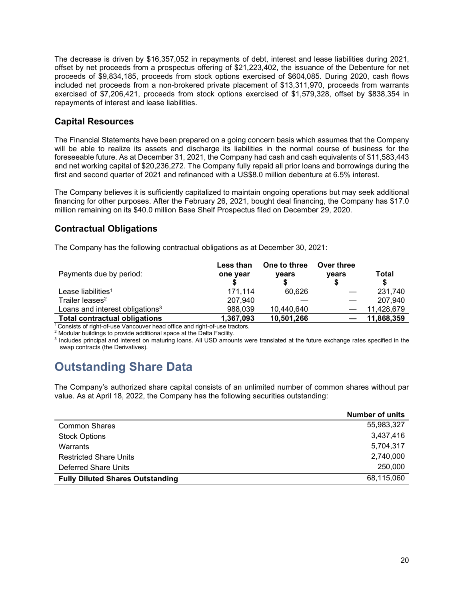The decrease is driven by \$16,357,052 in repayments of debt, interest and lease liabilities during 2021, offset by net proceeds from a prospectus offering of \$21,223,402, the issuance of the Debenture for net proceeds of \$9,834,185, proceeds from stock options exercised of \$604,085. During 2020, cash flows included net proceeds from a non-brokered private placement of \$13,311,970, proceeds from warrants exercised of \$7,206,421, proceeds from stock options exercised of \$1,579,328, offset by \$838,354 in repayments of interest and lease liabilities.

### **Capital Resources**

The Financial Statements have been prepared on a going concern basis which assumes that the Company will be able to realize its assets and discharge its liabilities in the normal course of business for the foreseeable future. As at December 31, 2021, the Company had cash and cash equivalents of \$11,583,443 and net working capital of \$20,236,272. The Company fully repaid all prior loans and borrowings during the first and second quarter of 2021 and refinanced with a US\$8.0 million debenture at 6.5% interest.

The Company believes it is sufficiently capitalized to maintain ongoing operations but may seek additional financing for other purposes. After the February 26, 2021, bought deal financing, the Company has \$17.0 million remaining on its \$40.0 million Base Shelf Prospectus filed on December 29, 2020.

### **Contractual Obligations**

The Company has the following contractual obligations as at December 30, 2021:

| Payments due by period:                     | Less than<br>one year | One to three<br>years | Over three<br>vears | Total      |
|---------------------------------------------|-----------------------|-----------------------|---------------------|------------|
| Lease liabilities <sup>1</sup>              | 171.114               | 60.626                |                     | 231,740    |
| Trailer leases <sup>2</sup>                 | 207,940               |                       |                     | 207,940    |
| Loans and interest obligations <sup>3</sup> | 988,039               | 10,440,640            |                     | 11,428,679 |
| <b>Total contractual obligations</b>        | 1,367,093             | 10,501,266            |                     | 11,868,359 |

<sup>1</sup> Consists of right-of-use Vancouver head office and right-of-use tractors.

<sup>2</sup> Modular buildings to provide additional space at the Delta Facility.

<sup>3</sup> Includes principal and interest on maturing loans. All USD amounts were translated at the future exchange rates specified in the swap contracts (the Derivatives).

# **Outstanding Share Data**

The Company's authorized share capital consists of an unlimited number of common shares without par value. As at April 18, 2022, the Company has the following securities outstanding:

|                                         | <b>Number of units</b> |
|-----------------------------------------|------------------------|
| <b>Common Shares</b>                    | 55,983,327             |
| <b>Stock Options</b>                    | 3,437,416              |
| Warrants                                | 5,704,317              |
| <b>Restricted Share Units</b>           | 2,740,000              |
| Deferred Share Units                    | 250,000                |
| <b>Fully Diluted Shares Outstanding</b> | 68,115,060             |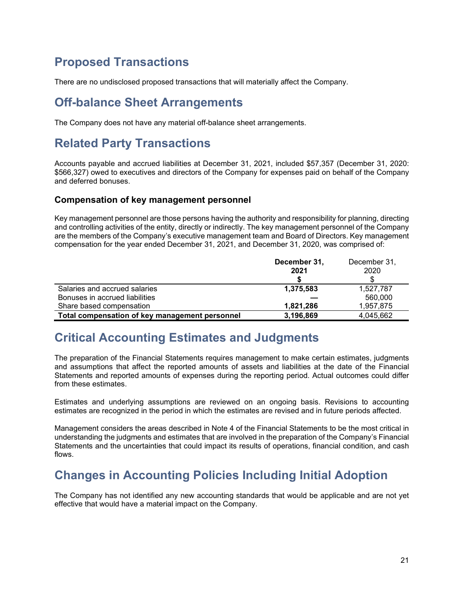# **Proposed Transactions**

There are no undisclosed proposed transactions that will materially affect the Company.

# **Off-balance Sheet Arrangements**

The Company does not have any material off-balance sheet arrangements.

# **Related Party Transactions**

Accounts payable and accrued liabilities at December 31, 2021, included \$57,357 (December 31, 2020: \$566,327) owed to executives and directors of the Company for expenses paid on behalf of the Company and deferred bonuses.

### **Compensation of key management personnel**

Key management personnel are those persons having the authority and responsibility for planning, directing and controlling activities of the entity, directly or indirectly. The key management personnel of the Company are the members of the Company's executive management team and Board of Directors. Key management compensation for the year ended December 31, 2021, and December 31, 2020, was comprised of:

|                                                | December 31, | December 31, |
|------------------------------------------------|--------------|--------------|
|                                                | 2021         | 2020         |
|                                                |              |              |
| Salaries and accrued salaries                  | 1,375,583    | 1,527,787    |
| Bonuses in accrued liabilities                 |              | 560,000      |
| Share based compensation                       | 1,821,286    | 1,957,875    |
| Total compensation of key management personnel | 3,196,869    | 4.045.662    |

# **Critical Accounting Estimates and Judgments**

The preparation of the Financial Statements requires management to make certain estimates, judgments and assumptions that affect the reported amounts of assets and liabilities at the date of the Financial Statements and reported amounts of expenses during the reporting period. Actual outcomes could differ from these estimates.

Estimates and underlying assumptions are reviewed on an ongoing basis. Revisions to accounting estimates are recognized in the period in which the estimates are revised and in future periods affected.

Management considers the areas described in Note 4 of the Financial Statements to be the most critical in understanding the judgments and estimates that are involved in the preparation of the Company's Financial Statements and the uncertainties that could impact its results of operations, financial condition, and cash flows.

# **Changes in Accounting Policies Including Initial Adoption**

The Company has not identified any new accounting standards that would be applicable and are not yet effective that would have a material impact on the Company.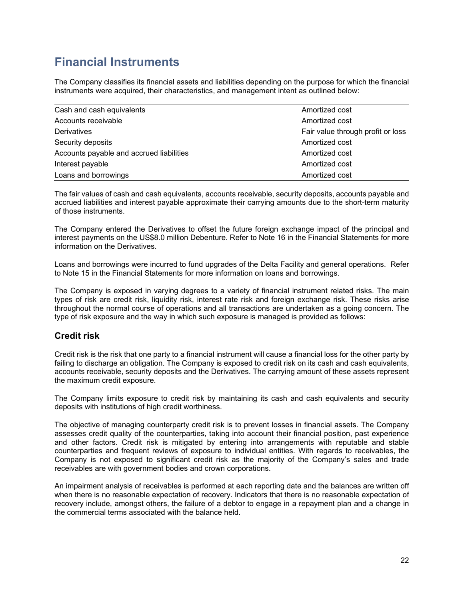# **Financial Instruments**

The Company classifies its financial assets and liabilities depending on the purpose for which the financial instruments were acquired, their characteristics, and management intent as outlined below:

| Cash and cash equivalents<br>Amortized cost |                                   |  |
|---------------------------------------------|-----------------------------------|--|
| Accounts receivable                         | Amortized cost                    |  |
| Derivatives                                 | Fair value through profit or loss |  |
| Security deposits                           | Amortized cost                    |  |
| Accounts payable and accrued liabilities    | Amortized cost                    |  |
| Interest payable                            | Amortized cost                    |  |
| Loans and borrowings                        | Amortized cost                    |  |

The fair values of cash and cash equivalents, accounts receivable, security deposits, accounts payable and accrued liabilities and interest payable approximate their carrying amounts due to the short-term maturity of those instruments.

The Company entered the Derivatives to offset the future foreign exchange impact of the principal and interest payments on the US\$8.0 million Debenture. Refer to Note 16 in the Financial Statements for more information on the Derivatives.

Loans and borrowings were incurred to fund upgrades of the Delta Facility and general operations. Refer to Note 15 in the Financial Statements for more information on loans and borrowings.

The Company is exposed in varying degrees to a variety of financial instrument related risks. The main types of risk are credit risk, liquidity risk, interest rate risk and foreign exchange risk. These risks arise throughout the normal course of operations and all transactions are undertaken as a going concern. The type of risk exposure and the way in which such exposure is managed is provided as follows:

### **Credit risk**

Credit risk is the risk that one party to a financial instrument will cause a financial loss for the other party by failing to discharge an obligation. The Company is exposed to credit risk on its cash and cash equivalents, accounts receivable, security deposits and the Derivatives. The carrying amount of these assets represent the maximum credit exposure.

The Company limits exposure to credit risk by maintaining its cash and cash equivalents and security deposits with institutions of high credit worthiness.

The objective of managing counterparty credit risk is to prevent losses in financial assets. The Company assesses credit quality of the counterparties, taking into account their financial position, past experience and other factors. Credit risk is mitigated by entering into arrangements with reputable and stable counterparties and frequent reviews of exposure to individual entities. With regards to receivables, the Company is not exposed to significant credit risk as the majority of the Company's sales and trade receivables are with government bodies and crown corporations.

An impairment analysis of receivables is performed at each reporting date and the balances are written off when there is no reasonable expectation of recovery. Indicators that there is no reasonable expectation of recovery include, amongst others, the failure of a debtor to engage in a repayment plan and a change in the commercial terms associated with the balance held.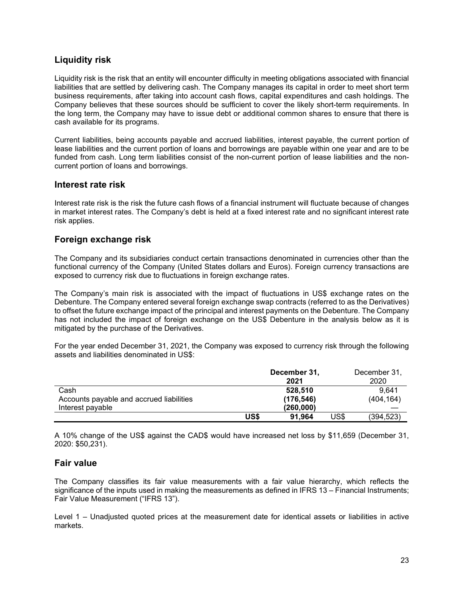### **Liquidity risk**

Liquidity risk is the risk that an entity will encounter difficulty in meeting obligations associated with financial liabilities that are settled by delivering cash. The Company manages its capital in order to meet short term business requirements, after taking into account cash flows, capital expenditures and cash holdings. The Company believes that these sources should be sufficient to cover the likely short-term requirements. In the long term, the Company may have to issue debt or additional common shares to ensure that there is cash available for its programs.

Current liabilities, being accounts payable and accrued liabilities, interest payable, the current portion of lease liabilities and the current portion of loans and borrowings are payable within one year and are to be funded from cash. Long term liabilities consist of the non-current portion of lease liabilities and the noncurrent portion of loans and borrowings.

#### **Interest rate risk**

Interest rate risk is the risk the future cash flows of a financial instrument will fluctuate because of changes in market interest rates. The Company's debt is held at a fixed interest rate and no significant interest rate risk applies.

### **Foreign exchange risk**

The Company and its subsidiaries conduct certain transactions denominated in currencies other than the functional currency of the Company (United States dollars and Euros). Foreign currency transactions are exposed to currency risk due to fluctuations in foreign exchange rates.

The Company's main risk is associated with the impact of fluctuations in US\$ exchange rates on the Debenture. The Company entered several foreign exchange swap contracts (referred to as the Derivatives) to offset the future exchange impact of the principal and interest payments on the Debenture. The Company has not included the impact of foreign exchange on the US\$ Debenture in the analysis below as it is mitigated by the purchase of the Derivatives.

For the year ended December 31, 2021, the Company was exposed to currency risk through the following assets and liabilities denominated in US\$:

|                                          |      | December 31, |      | December 31, |
|------------------------------------------|------|--------------|------|--------------|
|                                          |      | 2021         |      | 2020         |
| Cash                                     |      | 528.510      |      | 9.641        |
| Accounts payable and accrued liabilities |      | (176, 546)   |      | (404, 164)   |
| Interest payable                         |      | (260,000)    |      |              |
|                                          | US\$ | 91.964       | US\$ | (394, 523)   |

A 10% change of the US\$ against the CAD\$ would have increased net loss by \$11,659 (December 31, 2020: \$50,231).

### **Fair value**

The Company classifies its fair value measurements with a fair value hierarchy, which reflects the significance of the inputs used in making the measurements as defined in IFRS 13 – Financial Instruments; Fair Value Measurement ("IFRS 13").

Level 1 – Unadjusted quoted prices at the measurement date for identical assets or liabilities in active markets.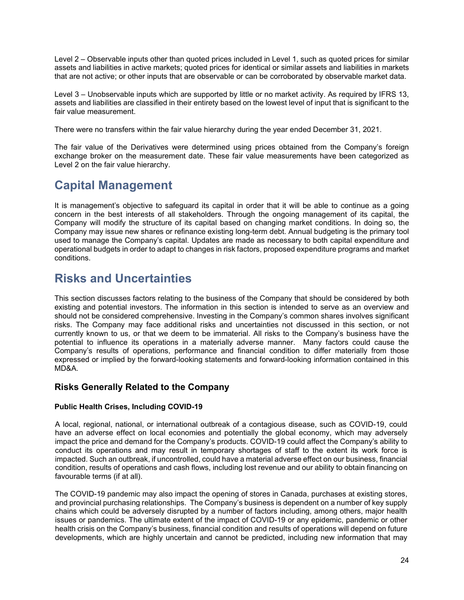Level 2 – Observable inputs other than quoted prices included in Level 1, such as quoted prices for similar assets and liabilities in active markets; quoted prices for identical or similar assets and liabilities in markets that are not active; or other inputs that are observable or can be corroborated by observable market data.

Level 3 – Unobservable inputs which are supported by little or no market activity. As required by IFRS 13, assets and liabilities are classified in their entirety based on the lowest level of input that is significant to the fair value measurement.

There were no transfers within the fair value hierarchy during the year ended December 31, 2021.

The fair value of the Derivatives were determined using prices obtained from the Company's foreign exchange broker on the measurement date. These fair value measurements have been categorized as Level 2 on the fair value hierarchy.

# **Capital Management**

It is management's objective to safeguard its capital in order that it will be able to continue as a going concern in the best interests of all stakeholders. Through the ongoing management of its capital, the Company will modify the structure of its capital based on changing market conditions. In doing so, the Company may issue new shares or refinance existing long-term debt. Annual budgeting is the primary tool used to manage the Company's capital. Updates are made as necessary to both capital expenditure and operational budgets in order to adapt to changes in risk factors, proposed expenditure programs and market conditions.

# **Risks and Uncertainties**

This section discusses factors relating to the business of the Company that should be considered by both existing and potential investors. The information in this section is intended to serve as an overview and should not be considered comprehensive. Investing in the Company's common shares involves significant risks. The Company may face additional risks and uncertainties not discussed in this section, or not currently known to us, or that we deem to be immaterial. All risks to the Company's business have the potential to influence its operations in a materially adverse manner. Many factors could cause the Company's results of operations, performance and financial condition to differ materially from those expressed or implied by the forward-looking statements and forward-looking information contained in this MD&A.

### **Risks Generally Related to the Company**

#### **Public Health Crises, Including COVID-19**

A local, regional, national, or international outbreak of a contagious disease, such as COVID-19, could have an adverse effect on local economies and potentially the global economy, which may adversely impact the price and demand for the Company's products. COVID-19 could affect the Company's ability to conduct its operations and may result in temporary shortages of staff to the extent its work force is impacted. Such an outbreak, if uncontrolled, could have a material adverse effect on our business, financial condition, results of operations and cash flows, including lost revenue and our ability to obtain financing on favourable terms (if at all).

The COVID-19 pandemic may also impact the opening of stores in Canada, purchases at existing stores, and provincial purchasing relationships. The Company's business is dependent on a number of key supply chains which could be adversely disrupted by a number of factors including, among others, major health issues or pandemics. The ultimate extent of the impact of COVID-19 or any epidemic, pandemic or other health crisis on the Company's business, financial condition and results of operations will depend on future developments, which are highly uncertain and cannot be predicted, including new information that may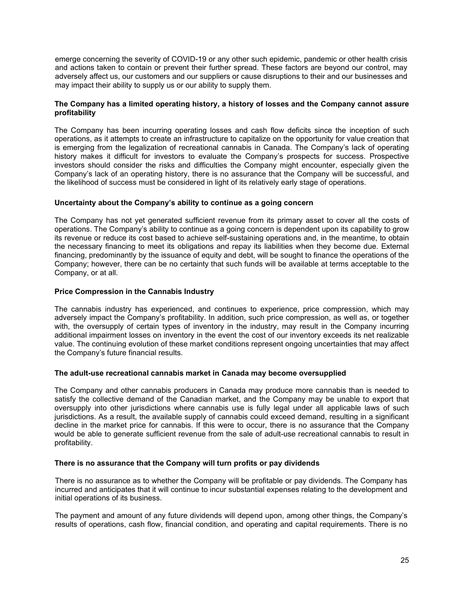emerge concerning the severity of COVID-19 or any other such epidemic, pandemic or other health crisis and actions taken to contain or prevent their further spread. These factors are beyond our control, may adversely affect us, our customers and our suppliers or cause disruptions to their and our businesses and may impact their ability to supply us or our ability to supply them.

#### **The Company has a limited operating history, a history of losses and the Company cannot assure profitability**

The Company has been incurring operating losses and cash flow deficits since the inception of such operations, as it attempts to create an infrastructure to capitalize on the opportunity for value creation that is emerging from the legalization of recreational cannabis in Canada. The Company's lack of operating history makes it difficult for investors to evaluate the Company's prospects for success. Prospective investors should consider the risks and difficulties the Company might encounter, especially given the Company's lack of an operating history, there is no assurance that the Company will be successful, and the likelihood of success must be considered in light of its relatively early stage of operations.

#### **Uncertainty about the Company's ability to continue as a going concern**

The Company has not yet generated sufficient revenue from its primary asset to cover all the costs of operations. The Company's ability to continue as a going concern is dependent upon its capability to grow its revenue or reduce its cost based to achieve self-sustaining operations and, in the meantime, to obtain the necessary financing to meet its obligations and repay its liabilities when they become due. External financing, predominantly by the issuance of equity and debt, will be sought to finance the operations of the Company; however, there can be no certainty that such funds will be available at terms acceptable to the Company, or at all.

#### **Price Compression in the Cannabis Industry**

The cannabis industry has experienced, and continues to experience, price compression, which may adversely impact the Company's profitability. In addition, such price compression, as well as, or together with, the oversupply of certain types of inventory in the industry, may result in the Company incurring additional impairment losses on inventory in the event the cost of our inventory exceeds its net realizable value. The continuing evolution of these market conditions represent ongoing uncertainties that may affect the Company's future financial results.

#### **The adult-use recreational cannabis market in Canada may become oversupplied**

The Company and other cannabis producers in Canada may produce more cannabis than is needed to satisfy the collective demand of the Canadian market, and the Company may be unable to export that oversupply into other jurisdictions where cannabis use is fully legal under all applicable laws of such jurisdictions. As a result, the available supply of cannabis could exceed demand, resulting in a significant decline in the market price for cannabis. If this were to occur, there is no assurance that the Company would be able to generate sufficient revenue from the sale of adult-use recreational cannabis to result in profitability.

#### **There is no assurance that the Company will turn profits or pay dividends**

There is no assurance as to whether the Company will be profitable or pay dividends. The Company has incurred and anticipates that it will continue to incur substantial expenses relating to the development and initial operations of its business.

The payment and amount of any future dividends will depend upon, among other things, the Company's results of operations, cash flow, financial condition, and operating and capital requirements. There is no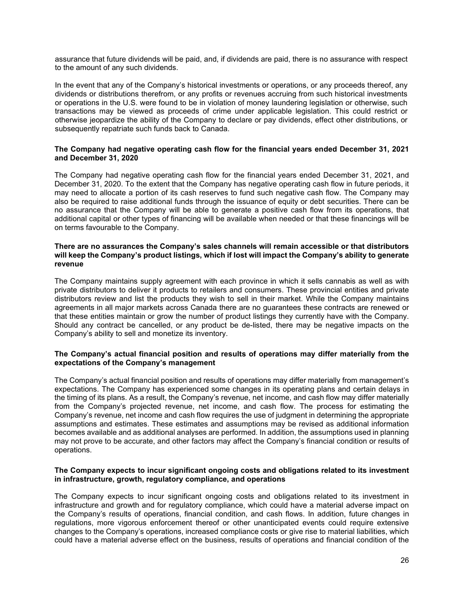assurance that future dividends will be paid, and, if dividends are paid, there is no assurance with respect to the amount of any such dividends.

In the event that any of the Company's historical investments or operations, or any proceeds thereof, any dividends or distributions therefrom, or any profits or revenues accruing from such historical investments or operations in the U.S. were found to be in violation of money laundering legislation or otherwise, such transactions may be viewed as proceeds of crime under applicable legislation. This could restrict or otherwise jeopardize the ability of the Company to declare or pay dividends, effect other distributions, or subsequently repatriate such funds back to Canada.

#### **The Company had negative operating cash flow for the financial years ended December 31, 2021 and December 31, 2020**

The Company had negative operating cash flow for the financial years ended December 31, 2021, and December 31, 2020. To the extent that the Company has negative operating cash flow in future periods, it may need to allocate a portion of its cash reserves to fund such negative cash flow. The Company may also be required to raise additional funds through the issuance of equity or debt securities. There can be no assurance that the Company will be able to generate a positive cash flow from its operations, that additional capital or other types of financing will be available when needed or that these financings will be on terms favourable to the Company.

#### **There are no assurances the Company's sales channels will remain accessible or that distributors will keep the Company's product listings, which if lost will impact the Company's ability to generate revenue**

The Company maintains supply agreement with each province in which it sells cannabis as well as with private distributors to deliver it products to retailers and consumers. These provincial entities and private distributors review and list the products they wish to sell in their market. While the Company maintains agreements in all major markets across Canada there are no guarantees these contracts are renewed or that these entities maintain or grow the number of product listings they currently have with the Company. Should any contract be cancelled, or any product be de-listed, there may be negative impacts on the Company's ability to sell and monetize its inventory.

#### **The Company's actual financial position and results of operations may differ materially from the expectations of the Company's management**

The Company's actual financial position and results of operations may differ materially from management's expectations. The Company has experienced some changes in its operating plans and certain delays in the timing of its plans. As a result, the Company's revenue, net income, and cash flow may differ materially from the Company's projected revenue, net income, and cash flow. The process for estimating the Company's revenue, net income and cash flow requires the use of judgment in determining the appropriate assumptions and estimates. These estimates and assumptions may be revised as additional information becomes available and as additional analyses are performed. In addition, the assumptions used in planning may not prove to be accurate, and other factors may affect the Company's financial condition or results of operations.

#### **The Company expects to incur significant ongoing costs and obligations related to its investment in infrastructure, growth, regulatory compliance, and operations**

The Company expects to incur significant ongoing costs and obligations related to its investment in infrastructure and growth and for regulatory compliance, which could have a material adverse impact on the Company's results of operations, financial condition, and cash flows. In addition, future changes in regulations, more vigorous enforcement thereof or other unanticipated events could require extensive changes to the Company's operations, increased compliance costs or give rise to material liabilities, which could have a material adverse effect on the business, results of operations and financial condition of the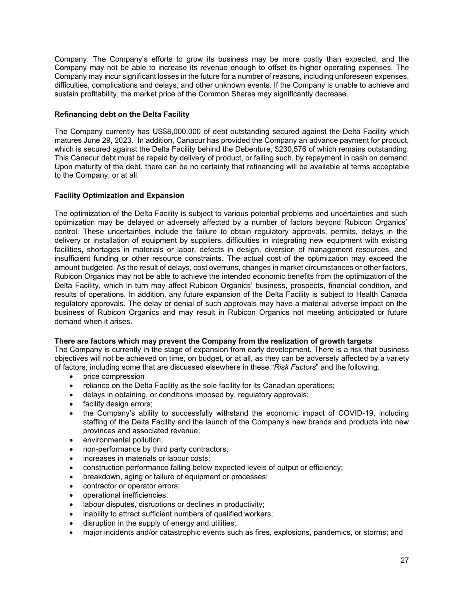Company. The Company's efforts to grow its business may be more costly than expected, and the Company may not be able to increase its revenue enough to offset its higher operating expenses. The Company may incur significant losses in the future for a number of reasons, including unforeseen expenses, difficulties, complications and delays, and other unknown events. If the Company is unable to achieve and sustain profitability, the market price of the Common Shares may significantly decrease.

#### **Refinancing debt on the Delta Facility**

The Company currently has US\$8,000,000 of debt outstanding secured against the Delta Facility which matures June 29, 2023. In addition, Canacur has provided the Company an advance payment for product, which is secured against the Delta Facility behind the Debenture, \$230,576 of which remains outstanding. This Canacur debt must be repaid by delivery of product, or failing such, by repayment in cash on demand. Upon maturity of the debt, there can be no certainty that refinancing will be available at terms acceptable to the Company, or at all.

#### **Facility Optimization and Expansion**

The optimization of the Delta Facility is subject to various potential problems and uncertainties and such optimization may be delayed or adversely affected by a number of factors beyond Rubicon Organics' control. These uncertainties include the failure to obtain regulatory approvals, permits, delays in the delivery or installation of equipment by suppliers, difficulties in integrating new equipment with existing facilities, shortages in materials or labor, defects in design, diversion of management resources, and insufficient funding or other resource constraints. The actual cost of the optimization may exceed the amount budgeted. As the result of delays, cost overruns, changes in market circumstances or other factors, Rubicon Organics may not be able to achieve the intended economic benefits from the optimization of the Delta Facility, which in turn may affect Rubicon Organics' business, prospects, financial condition, and results of operations. In addition, any future expansion of the Delta Facility is subject to Health Canada regulatory approvals. The delay or denial of such approvals may have a material adverse impact on the business of Rubicon Organics and may result in Rubicon Organics not meeting anticipated or future demand when it arises.

#### **There are factors which may prevent the Company from the realization of growth targets**

The Company is currently in the stage of expansion from early development. There is a risk that business objectives will not be achieved on time, on budget, or at all, as they can be adversely affected by a variety of factors, including some that are discussed elsewhere in these "*Risk Factors*" and the following:

- price compression
- reliance on the Delta Facility as the sole facility for its Canadian operations;
- delays in obtaining, or conditions imposed by, regulatory approvals;
- facility design errors:
- the Company's ability to successfully withstand the economic impact of COVID-19, including staffing of the Delta Facility and the launch of the Company's new brands and products into new provinces and associated revenue;
- environmental pollution;
- non-performance by third party contractors;
- increases in materials or labour costs;
- construction performance falling below expected levels of output or efficiency;
- breakdown, aging or failure of equipment or processes;
- contractor or operator errors;
- operational inefficiencies;
- labour disputes, disruptions or declines in productivity;
- inability to attract sufficient numbers of qualified workers:
- disruption in the supply of energy and utilities;
- major incidents and/or catastrophic events such as fires, explosions, pandemics, or storms; and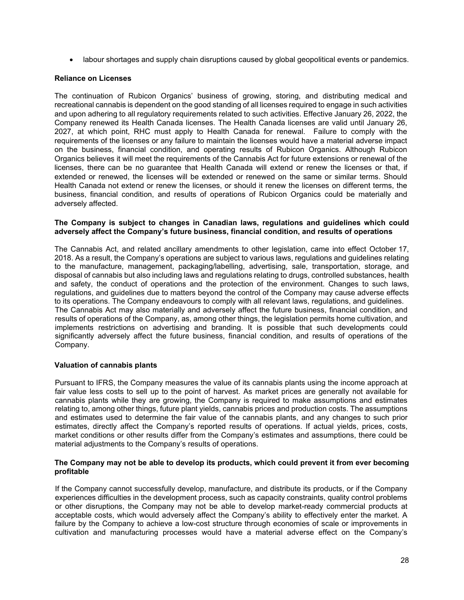• labour shortages and supply chain disruptions caused by global geopolitical events or pandemics.

#### **Reliance on Licenses**

The continuation of Rubicon Organics' business of growing, storing, and distributing medical and recreational cannabis is dependent on the good standing of all licenses required to engage in such activities and upon adhering to all regulatory requirements related to such activities. Effective January 26, 2022, the Company renewed its Health Canada licenses. The Health Canada licenses are valid until January 26, 2027, at which point, RHC must apply to Health Canada for renewal. Failure to comply with the requirements of the licenses or any failure to maintain the licenses would have a material adverse impact on the business, financial condition, and operating results of Rubicon Organics. Although Rubicon Organics believes it will meet the requirements of the Cannabis Act for future extensions or renewal of the licenses, there can be no guarantee that Health Canada will extend or renew the licenses or that, if extended or renewed, the licenses will be extended or renewed on the same or similar terms. Should Health Canada not extend or renew the licenses, or should it renew the licenses on different terms, the business, financial condition, and results of operations of Rubicon Organics could be materially and adversely affected.

#### **The Company is subject to changes in Canadian laws, regulations and guidelines which could adversely affect the Company's future business, financial condition, and results of operations**

The Cannabis Act, and related ancillary amendments to other legislation, came into effect October 17, 2018. As a result, the Company's operations are subject to various laws, regulations and guidelines relating to the manufacture, management, packaging/labelling, advertising, sale, transportation, storage, and disposal of cannabis but also including laws and regulations relating to drugs, controlled substances, health and safety, the conduct of operations and the protection of the environment. Changes to such laws, regulations, and guidelines due to matters beyond the control of the Company may cause adverse effects to its operations. The Company endeavours to comply with all relevant laws, regulations, and guidelines. The Cannabis Act may also materially and adversely affect the future business, financial condition, and results of operations of the Company, as, among other things, the legislation permits home cultivation, and implements restrictions on advertising and branding. It is possible that such developments could significantly adversely affect the future business, financial condition, and results of operations of the Company.

#### **Valuation of cannabis plants**

Pursuant to IFRS, the Company measures the value of its cannabis plants using the income approach at fair value less costs to sell up to the point of harvest. As market prices are generally not available for cannabis plants while they are growing, the Company is required to make assumptions and estimates relating to, among other things, future plant yields, cannabis prices and production costs. The assumptions and estimates used to determine the fair value of the cannabis plants, and any changes to such prior estimates, directly affect the Company's reported results of operations. If actual yields, prices, costs, market conditions or other results differ from the Company's estimates and assumptions, there could be material adjustments to the Company's results of operations.

#### **The Company may not be able to develop its products, which could prevent it from ever becoming profitable**

If the Company cannot successfully develop, manufacture, and distribute its products, or if the Company experiences difficulties in the development process, such as capacity constraints, quality control problems or other disruptions, the Company may not be able to develop market-ready commercial products at acceptable costs, which would adversely affect the Company's ability to effectively enter the market. A failure by the Company to achieve a low-cost structure through economies of scale or improvements in cultivation and manufacturing processes would have a material adverse effect on the Company's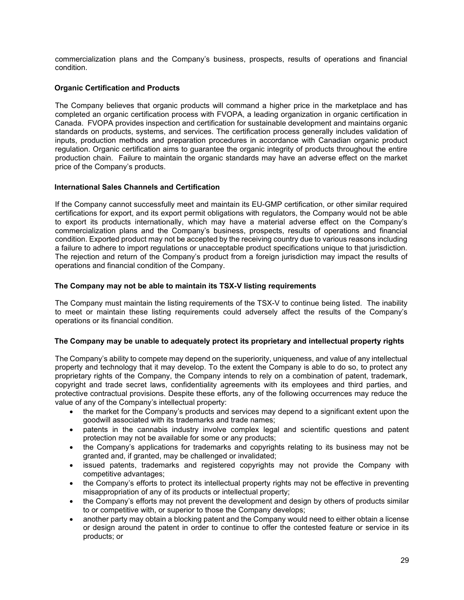commercialization plans and the Company's business, prospects, results of operations and financial condition.

#### **Organic Certification and Products**

The Company believes that organic products will command a higher price in the marketplace and has completed an organic certification process with FVOPA, a leading organization in organic certification in Canada. FVOPA provides inspection and certification for sustainable development and maintains organic standards on products, systems, and services. The certification process generally includes validation of inputs, production methods and preparation procedures in accordance with Canadian organic product regulation. Organic certification aims to guarantee the organic integrity of products throughout the entire production chain. Failure to maintain the organic standards may have an adverse effect on the market price of the Company's products.

#### **International Sales Channels and Certification**

If the Company cannot successfully meet and maintain its EU-GMP certification, or other similar required certifications for export, and its export permit obligations with regulators, the Company would not be able to export its products internationally, which may have a material adverse effect on the Company's commercialization plans and the Company's business, prospects, results of operations and financial condition. Exported product may not be accepted by the receiving country due to various reasons including a failure to adhere to import regulations or unacceptable product specifications unique to that jurisdiction. The rejection and return of the Company's product from a foreign jurisdiction may impact the results of operations and financial condition of the Company.

#### **The Company may not be able to maintain its TSX-V listing requirements**

The Company must maintain the listing requirements of the TSX-V to continue being listed. The inability to meet or maintain these listing requirements could adversely affect the results of the Company's operations or its financial condition.

#### **The Company may be unable to adequately protect its proprietary and intellectual property rights**

The Company's ability to compete may depend on the superiority, uniqueness, and value of any intellectual property and technology that it may develop. To the extent the Company is able to do so, to protect any proprietary rights of the Company, the Company intends to rely on a combination of patent, trademark, copyright and trade secret laws, confidentiality agreements with its employees and third parties, and protective contractual provisions. Despite these efforts, any of the following occurrences may reduce the value of any of the Company's intellectual property:

- the market for the Company's products and services may depend to a significant extent upon the goodwill associated with its trademarks and trade names;
- patents in the cannabis industry involve complex legal and scientific questions and patent protection may not be available for some or any products;
- the Company's applications for trademarks and copyrights relating to its business may not be granted and, if granted, may be challenged or invalidated;
- issued patents, trademarks and registered copyrights may not provide the Company with competitive advantages;
- the Company's efforts to protect its intellectual property rights may not be effective in preventing misappropriation of any of its products or intellectual property;
- the Company's efforts may not prevent the development and design by others of products similar to or competitive with, or superior to those the Company develops;
- another party may obtain a blocking patent and the Company would need to either obtain a license or design around the patent in order to continue to offer the contested feature or service in its products; or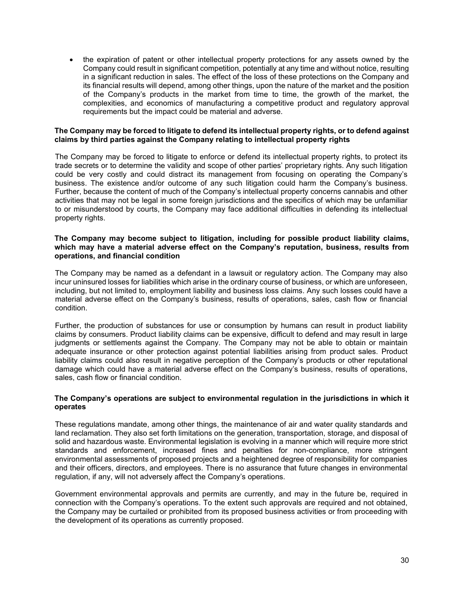• the expiration of patent or other intellectual property protections for any assets owned by the Company could result in significant competition, potentially at any time and without notice, resulting in a significant reduction in sales. The effect of the loss of these protections on the Company and its financial results will depend, among other things, upon the nature of the market and the position of the Company's products in the market from time to time, the growth of the market, the complexities, and economics of manufacturing a competitive product and regulatory approval requirements but the impact could be material and adverse.

#### **The Company may be forced to litigate to defend its intellectual property rights, or to defend against claims by third parties against the Company relating to intellectual property rights**

The Company may be forced to litigate to enforce or defend its intellectual property rights, to protect its trade secrets or to determine the validity and scope of other parties' proprietary rights. Any such litigation could be very costly and could distract its management from focusing on operating the Company's business. The existence and/or outcome of any such litigation could harm the Company's business. Further, because the content of much of the Company's intellectual property concerns cannabis and other activities that may not be legal in some foreign jurisdictions and the specifics of which may be unfamiliar to or misunderstood by courts, the Company may face additional difficulties in defending its intellectual property rights.

#### **The Company may become subject to litigation, including for possible product liability claims, which may have a material adverse effect on the Company's reputation, business, results from operations, and financial condition**

The Company may be named as a defendant in a lawsuit or regulatory action. The Company may also incur uninsured losses for liabilities which arise in the ordinary course of business, or which are unforeseen, including, but not limited to, employment liability and business loss claims. Any such losses could have a material adverse effect on the Company's business, results of operations, sales, cash flow or financial condition.

Further, the production of substances for use or consumption by humans can result in product liability claims by consumers. Product liability claims can be expensive, difficult to defend and may result in large judgments or settlements against the Company. The Company may not be able to obtain or maintain adequate insurance or other protection against potential liabilities arising from product sales. Product liability claims could also result in negative perception of the Company's products or other reputational damage which could have a material adverse effect on the Company's business, results of operations, sales, cash flow or financial condition.

#### **The Company's operations are subject to environmental regulation in the jurisdictions in which it operates**

These regulations mandate, among other things, the maintenance of air and water quality standards and land reclamation. They also set forth limitations on the generation, transportation, storage, and disposal of solid and hazardous waste. Environmental legislation is evolving in a manner which will require more strict standards and enforcement, increased fines and penalties for non-compliance, more stringent environmental assessments of proposed projects and a heightened degree of responsibility for companies and their officers, directors, and employees. There is no assurance that future changes in environmental regulation, if any, will not adversely affect the Company's operations.

Government environmental approvals and permits are currently, and may in the future be, required in connection with the Company's operations. To the extent such approvals are required and not obtained, the Company may be curtailed or prohibited from its proposed business activities or from proceeding with the development of its operations as currently proposed.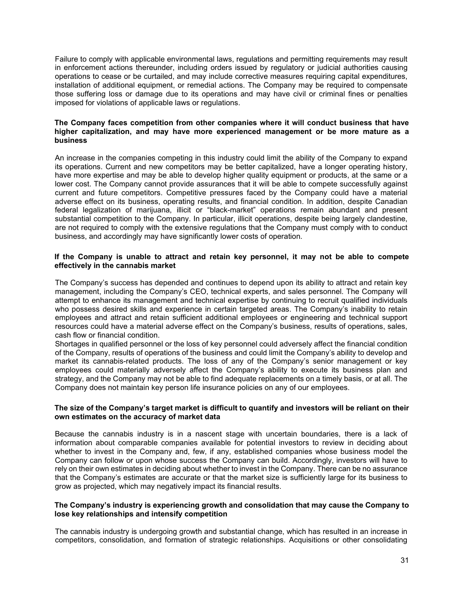Failure to comply with applicable environmental laws, regulations and permitting requirements may result in enforcement actions thereunder, including orders issued by regulatory or judicial authorities causing operations to cease or be curtailed, and may include corrective measures requiring capital expenditures, installation of additional equipment, or remedial actions. The Company may be required to compensate those suffering loss or damage due to its operations and may have civil or criminal fines or penalties imposed for violations of applicable laws or regulations.

#### **The Company faces competition from other companies where it will conduct business that have higher capitalization, and may have more experienced management or be more mature as a business**

An increase in the companies competing in this industry could limit the ability of the Company to expand its operations. Current and new competitors may be better capitalized, have a longer operating history, have more expertise and may be able to develop higher quality equipment or products, at the same or a lower cost. The Company cannot provide assurances that it will be able to compete successfully against current and future competitors. Competitive pressures faced by the Company could have a material adverse effect on its business, operating results, and financial condition. In addition, despite Canadian federal legalization of marijuana, illicit or "black-market" operations remain abundant and present substantial competition to the Company. In particular, illicit operations, despite being largely clandestine, are not required to comply with the extensive regulations that the Company must comply with to conduct business, and accordingly may have significantly lower costs of operation.

#### **If the Company is unable to attract and retain key personnel, it may not be able to compete effectively in the cannabis market**

The Company's success has depended and continues to depend upon its ability to attract and retain key management, including the Company's CEO, technical experts, and sales personnel. The Company will attempt to enhance its management and technical expertise by continuing to recruit qualified individuals who possess desired skills and experience in certain targeted areas. The Company's inability to retain employees and attract and retain sufficient additional employees or engineering and technical support resources could have a material adverse effect on the Company's business, results of operations, sales, cash flow or financial condition.

Shortages in qualified personnel or the loss of key personnel could adversely affect the financial condition of the Company, results of operations of the business and could limit the Company's ability to develop and market its cannabis-related products. The loss of any of the Company's senior management or key employees could materially adversely affect the Company's ability to execute its business plan and strategy, and the Company may not be able to find adequate replacements on a timely basis, or at all. The Company does not maintain key person life insurance policies on any of our employees.

#### **The size of the Company's target market is difficult to quantify and investors will be reliant on their own estimates on the accuracy of market data**

Because the cannabis industry is in a nascent stage with uncertain boundaries, there is a lack of information about comparable companies available for potential investors to review in deciding about whether to invest in the Company and, few, if any, established companies whose business model the Company can follow or upon whose success the Company can build. Accordingly, investors will have to rely on their own estimates in deciding about whether to invest in the Company. There can be no assurance that the Company's estimates are accurate or that the market size is sufficiently large for its business to grow as projected, which may negatively impact its financial results.

#### **The Company's industry is experiencing growth and consolidation that may cause the Company to lose key relationships and intensify competition**

The cannabis industry is undergoing growth and substantial change, which has resulted in an increase in competitors, consolidation, and formation of strategic relationships. Acquisitions or other consolidating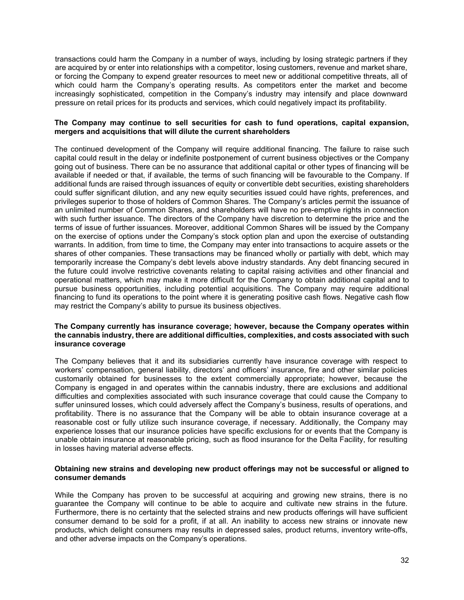transactions could harm the Company in a number of ways, including by losing strategic partners if they are acquired by or enter into relationships with a competitor, losing customers, revenue and market share, or forcing the Company to expend greater resources to meet new or additional competitive threats, all of which could harm the Company's operating results. As competitors enter the market and become increasingly sophisticated, competition in the Company's industry may intensify and place downward pressure on retail prices for its products and services, which could negatively impact its profitability.

#### **The Company may continue to sell securities for cash to fund operations, capital expansion, mergers and acquisitions that will dilute the current shareholders**

The continued development of the Company will require additional financing. The failure to raise such capital could result in the delay or indefinite postponement of current business objectives or the Company going out of business. There can be no assurance that additional capital or other types of financing will be available if needed or that, if available, the terms of such financing will be favourable to the Company. If additional funds are raised through issuances of equity or convertible debt securities, existing shareholders could suffer significant dilution, and any new equity securities issued could have rights, preferences, and privileges superior to those of holders of Common Shares. The Company's articles permit the issuance of an unlimited number of Common Shares, and shareholders will have no pre-emptive rights in connection with such further issuance. The directors of the Company have discretion to determine the price and the terms of issue of further issuances. Moreover, additional Common Shares will be issued by the Company on the exercise of options under the Company's stock option plan and upon the exercise of outstanding warrants. In addition, from time to time, the Company may enter into transactions to acquire assets or the shares of other companies. These transactions may be financed wholly or partially with debt, which may temporarily increase the Company's debt levels above industry standards. Any debt financing secured in the future could involve restrictive covenants relating to capital raising activities and other financial and operational matters, which may make it more difficult for the Company to obtain additional capital and to pursue business opportunities, including potential acquisitions. The Company may require additional financing to fund its operations to the point where it is generating positive cash flows. Negative cash flow may restrict the Company's ability to pursue its business objectives.

#### **The Company currently has insurance coverage; however, because the Company operates within the cannabis industry, there are additional difficulties, complexities, and costs associated with such insurance coverage**

The Company believes that it and its subsidiaries currently have insurance coverage with respect to workers' compensation, general liability, directors' and officers' insurance, fire and other similar policies customarily obtained for businesses to the extent commercially appropriate; however, because the Company is engaged in and operates within the cannabis industry, there are exclusions and additional difficulties and complexities associated with such insurance coverage that could cause the Company to suffer uninsured losses, which could adversely affect the Company's business, results of operations, and profitability. There is no assurance that the Company will be able to obtain insurance coverage at a reasonable cost or fully utilize such insurance coverage, if necessary. Additionally, the Company may experience losses that our insurance policies have specific exclusions for or events that the Company is unable obtain insurance at reasonable pricing, such as flood insurance for the Delta Facility, for resulting in losses having material adverse effects.

#### **Obtaining new strains and developing new product offerings may not be successful or aligned to consumer demands**

While the Company has proven to be successful at acquiring and growing new strains, there is no guarantee the Company will continue to be able to acquire and cultivate new strains in the future. Furthermore, there is no certainty that the selected strains and new products offerings will have sufficient consumer demand to be sold for a profit, if at all. An inability to access new strains or innovate new products, which delight consumers may results in depressed sales, product returns, inventory write-offs, and other adverse impacts on the Company's operations.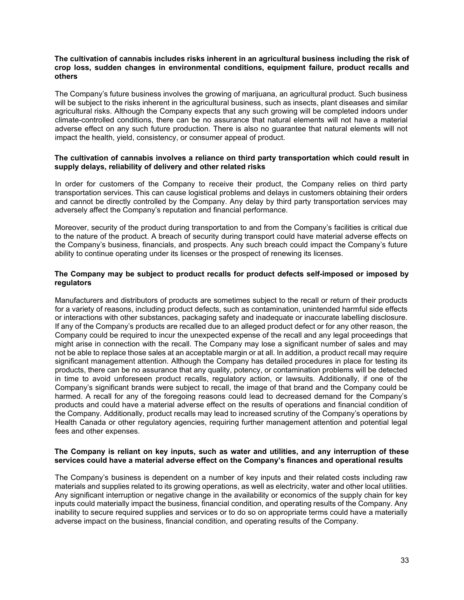#### **The cultivation of cannabis includes risks inherent in an agricultural business including the risk of crop loss, sudden changes in environmental conditions, equipment failure, product recalls and others**

The Company's future business involves the growing of marijuana, an agricultural product. Such business will be subject to the risks inherent in the agricultural business, such as insects, plant diseases and similar agricultural risks. Although the Company expects that any such growing will be completed indoors under climate-controlled conditions, there can be no assurance that natural elements will not have a material adverse effect on any such future production. There is also no guarantee that natural elements will not impact the health, yield, consistency, or consumer appeal of product.

#### **The cultivation of cannabis involves a reliance on third party transportation which could result in supply delays, reliability of delivery and other related risks**

In order for customers of the Company to receive their product, the Company relies on third party transportation services. This can cause logistical problems and delays in customers obtaining their orders and cannot be directly controlled by the Company. Any delay by third party transportation services may adversely affect the Company's reputation and financial performance.

Moreover, security of the product during transportation to and from the Company's facilities is critical due to the nature of the product. A breach of security during transport could have material adverse effects on the Company's business, financials, and prospects. Any such breach could impact the Company's future ability to continue operating under its licenses or the prospect of renewing its licenses.

#### **The Company may be subject to product recalls for product defects self-imposed or imposed by regulators**

Manufacturers and distributors of products are sometimes subject to the recall or return of their products for a variety of reasons, including product defects, such as contamination, unintended harmful side effects or interactions with other substances, packaging safety and inadequate or inaccurate labelling disclosure. If any of the Company's products are recalled due to an alleged product defect or for any other reason, the Company could be required to incur the unexpected expense of the recall and any legal proceedings that might arise in connection with the recall. The Company may lose a significant number of sales and may not be able to replace those sales at an acceptable margin or at all. In addition, a product recall may require significant management attention. Although the Company has detailed procedures in place for testing its products, there can be no assurance that any quality, potency, or contamination problems will be detected in time to avoid unforeseen product recalls, regulatory action, or lawsuits. Additionally, if one of the Company's significant brands were subject to recall, the image of that brand and the Company could be harmed. A recall for any of the foregoing reasons could lead to decreased demand for the Company's products and could have a material adverse effect on the results of operations and financial condition of the Company. Additionally, product recalls may lead to increased scrutiny of the Company's operations by Health Canada or other regulatory agencies, requiring further management attention and potential legal fees and other expenses.

#### **The Company is reliant on key inputs, such as water and utilities, and any interruption of these services could have a material adverse effect on the Company's finances and operational results**

The Company's business is dependent on a number of key inputs and their related costs including raw materials and supplies related to its growing operations, as well as electricity, water and other local utilities. Any significant interruption or negative change in the availability or economics of the supply chain for key inputs could materially impact the business, financial condition, and operating results of the Company. Any inability to secure required supplies and services or to do so on appropriate terms could have a materially adverse impact on the business, financial condition, and operating results of the Company.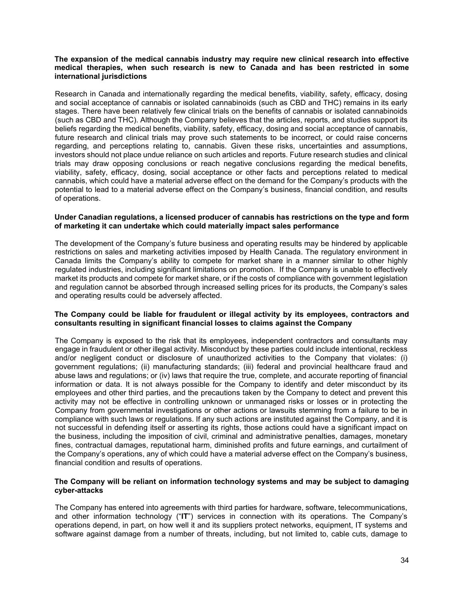#### **The expansion of the medical cannabis industry may require new clinical research into effective medical therapies, when such research is new to Canada and has been restricted in some international jurisdictions**

Research in Canada and internationally regarding the medical benefits, viability, safety, efficacy, dosing and social acceptance of cannabis or isolated cannabinoids (such as CBD and THC) remains in its early stages. There have been relatively few clinical trials on the benefits of cannabis or isolated cannabinoids (such as CBD and THC). Although the Company believes that the articles, reports, and studies support its beliefs regarding the medical benefits, viability, safety, efficacy, dosing and social acceptance of cannabis, future research and clinical trials may prove such statements to be incorrect, or could raise concerns regarding, and perceptions relating to, cannabis. Given these risks, uncertainties and assumptions, investors should not place undue reliance on such articles and reports. Future research studies and clinical trials may draw opposing conclusions or reach negative conclusions regarding the medical benefits, viability, safety, efficacy, dosing, social acceptance or other facts and perceptions related to medical cannabis, which could have a material adverse effect on the demand for the Company's products with the potential to lead to a material adverse effect on the Company's business, financial condition, and results of operations.

#### **Under Canadian regulations, a licensed producer of cannabis has restrictions on the type and form of marketing it can undertake which could materially impact sales performance**

The development of the Company's future business and operating results may be hindered by applicable restrictions on sales and marketing activities imposed by Health Canada. The regulatory environment in Canada limits the Company's ability to compete for market share in a manner similar to other highly regulated industries, including significant limitations on promotion. If the Company is unable to effectively market its products and compete for market share, or if the costs of compliance with government legislation and regulation cannot be absorbed through increased selling prices for its products, the Company's sales and operating results could be adversely affected.

#### **The Company could be liable for fraudulent or illegal activity by its employees, contractors and consultants resulting in significant financial losses to claims against the Company**

The Company is exposed to the risk that its employees, independent contractors and consultants may engage in fraudulent or other illegal activity. Misconduct by these parties could include intentional, reckless and/or negligent conduct or disclosure of unauthorized activities to the Company that violates: (i) government regulations; (ii) manufacturing standards; (iii) federal and provincial healthcare fraud and abuse laws and regulations; or (iv) laws that require the true, complete, and accurate reporting of financial information or data. It is not always possible for the Company to identify and deter misconduct by its employees and other third parties, and the precautions taken by the Company to detect and prevent this activity may not be effective in controlling unknown or unmanaged risks or losses or in protecting the Company from governmental investigations or other actions or lawsuits stemming from a failure to be in compliance with such laws or regulations. If any such actions are instituted against the Company, and it is not successful in defending itself or asserting its rights, those actions could have a significant impact on the business, including the imposition of civil, criminal and administrative penalties, damages, monetary fines, contractual damages, reputational harm, diminished profits and future earnings, and curtailment of the Company's operations, any of which could have a material adverse effect on the Company's business, financial condition and results of operations.

#### **The Company will be reliant on information technology systems and may be subject to damaging cyber-attacks**

The Company has entered into agreements with third parties for hardware, software, telecommunications, and other information technology ("**IT**") services in connection with its operations. The Company's operations depend, in part, on how well it and its suppliers protect networks, equipment, IT systems and software against damage from a number of threats, including, but not limited to, cable cuts, damage to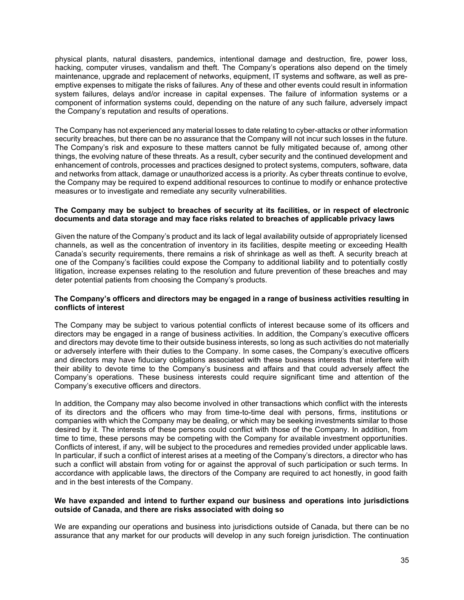physical plants, natural disasters, pandemics, intentional damage and destruction, fire, power loss, hacking, computer viruses, vandalism and theft. The Company's operations also depend on the timely maintenance, upgrade and replacement of networks, equipment, IT systems and software, as well as preemptive expenses to mitigate the risks of failures. Any of these and other events could result in information system failures, delays and/or increase in capital expenses. The failure of information systems or a component of information systems could, depending on the nature of any such failure, adversely impact the Company's reputation and results of operations.

The Company has not experienced any material losses to date relating to cyber-attacks or other information security breaches, but there can be no assurance that the Company will not incur such losses in the future. The Company's risk and exposure to these matters cannot be fully mitigated because of, among other things, the evolving nature of these threats. As a result, cyber security and the continued development and enhancement of controls, processes and practices designed to protect systems, computers, software, data and networks from attack, damage or unauthorized access is a priority. As cyber threats continue to evolve, the Company may be required to expend additional resources to continue to modify or enhance protective measures or to investigate and remediate any security vulnerabilities.

#### **The Company may be subject to breaches of security at its facilities, or in respect of electronic documents and data storage and may face risks related to breaches of applicable privacy laws**

Given the nature of the Company's product and its lack of legal availability outside of appropriately licensed channels, as well as the concentration of inventory in its facilities, despite meeting or exceeding Health Canada's security requirements, there remains a risk of shrinkage as well as theft. A security breach at one of the Company's facilities could expose the Company to additional liability and to potentially costly litigation, increase expenses relating to the resolution and future prevention of these breaches and may deter potential patients from choosing the Company's products.

#### **The Company's officers and directors may be engaged in a range of business activities resulting in conflicts of interest**

The Company may be subject to various potential conflicts of interest because some of its officers and directors may be engaged in a range of business activities. In addition, the Company's executive officers and directors may devote time to their outside business interests, so long as such activities do not materially or adversely interfere with their duties to the Company. In some cases, the Company's executive officers and directors may have fiduciary obligations associated with these business interests that interfere with their ability to devote time to the Company's business and affairs and that could adversely affect the Company's operations. These business interests could require significant time and attention of the Company's executive officers and directors.

In addition, the Company may also become involved in other transactions which conflict with the interests of its directors and the officers who may from time-to-time deal with persons, firms, institutions or companies with which the Company may be dealing, or which may be seeking investments similar to those desired by it. The interests of these persons could conflict with those of the Company. In addition, from time to time, these persons may be competing with the Company for available investment opportunities. Conflicts of interest, if any, will be subject to the procedures and remedies provided under applicable laws. In particular, if such a conflict of interest arises at a meeting of the Company's directors, a director who has such a conflict will abstain from voting for or against the approval of such participation or such terms. In accordance with applicable laws, the directors of the Company are required to act honestly, in good faith and in the best interests of the Company.

#### **We have expanded and intend to further expand our business and operations into jurisdictions outside of Canada, and there are risks associated with doing so**

We are expanding our operations and business into jurisdictions outside of Canada, but there can be no assurance that any market for our products will develop in any such foreign jurisdiction. The continuation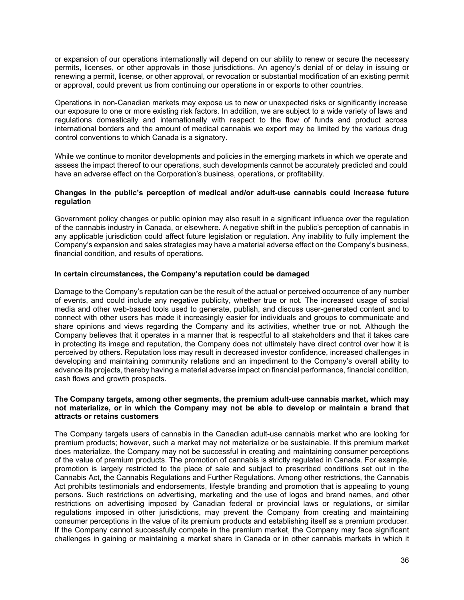or expansion of our operations internationally will depend on our ability to renew or secure the necessary permits, licenses, or other approvals in those jurisdictions. An agency's denial of or delay in issuing or renewing a permit, license, or other approval, or revocation or substantial modification of an existing permit or approval, could prevent us from continuing our operations in or exports to other countries.

Operations in non-Canadian markets may expose us to new or unexpected risks or significantly increase our exposure to one or more existing risk factors. In addition, we are subject to a wide variety of laws and regulations domestically and internationally with respect to the flow of funds and product across international borders and the amount of medical cannabis we export may be limited by the various drug control conventions to which Canada is a signatory.

While we continue to monitor developments and policies in the emerging markets in which we operate and assess the impact thereof to our operations, such developments cannot be accurately predicted and could have an adverse effect on the Corporation's business, operations, or profitability.

#### **Changes in the public's perception of medical and/or adult-use cannabis could increase future regulation**

Government policy changes or public opinion may also result in a significant influence over the regulation of the cannabis industry in Canada, or elsewhere. A negative shift in the public's perception of cannabis in any applicable jurisdiction could affect future legislation or regulation. Any inability to fully implement the Company's expansion and sales strategies may have a material adverse effect on the Company's business, financial condition, and results of operations.

#### **In certain circumstances, the Company's reputation could be damaged**

Damage to the Company's reputation can be the result of the actual or perceived occurrence of any number of events, and could include any negative publicity, whether true or not. The increased usage of social media and other web-based tools used to generate, publish, and discuss user-generated content and to connect with other users has made it increasingly easier for individuals and groups to communicate and share opinions and views regarding the Company and its activities, whether true or not. Although the Company believes that it operates in a manner that is respectful to all stakeholders and that it takes care in protecting its image and reputation, the Company does not ultimately have direct control over how it is perceived by others. Reputation loss may result in decreased investor confidence, increased challenges in developing and maintaining community relations and an impediment to the Company's overall ability to advance its projects, thereby having a material adverse impact on financial performance, financial condition, cash flows and growth prospects.

#### **The Company targets, among other segments, the premium adult-use cannabis market, which may not materialize, or in which the Company may not be able to develop or maintain a brand that attracts or retains customers**

The Company targets users of cannabis in the Canadian adult-use cannabis market who are looking for premium products; however, such a market may not materialize or be sustainable. If this premium market does materialize, the Company may not be successful in creating and maintaining consumer perceptions of the value of premium products. The promotion of cannabis is strictly regulated in Canada. For example, promotion is largely restricted to the place of sale and subject to prescribed conditions set out in the Cannabis Act, the Cannabis Regulations and Further Regulations. Among other restrictions, the Cannabis Act prohibits testimonials and endorsements, lifestyle branding and promotion that is appealing to young persons. Such restrictions on advertising, marketing and the use of logos and brand names, and other restrictions on advertising imposed by Canadian federal or provincial laws or regulations, or similar regulations imposed in other jurisdictions, may prevent the Company from creating and maintaining consumer perceptions in the value of its premium products and establishing itself as a premium producer. If the Company cannot successfully compete in the premium market, the Company may face significant challenges in gaining or maintaining a market share in Canada or in other cannabis markets in which it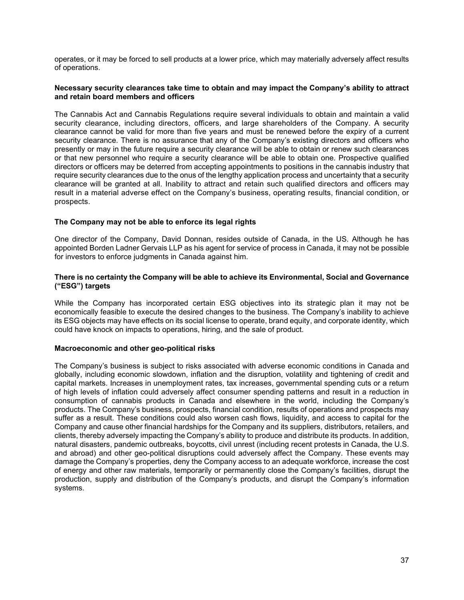operates, or it may be forced to sell products at a lower price, which may materially adversely affect results of operations.

#### **Necessary security clearances take time to obtain and may impact the Company's ability to attract and retain board members and officers**

The Cannabis Act and Cannabis Regulations require several individuals to obtain and maintain a valid security clearance, including directors, officers, and large shareholders of the Company. A security clearance cannot be valid for more than five years and must be renewed before the expiry of a current security clearance. There is no assurance that any of the Company's existing directors and officers who presently or may in the future require a security clearance will be able to obtain or renew such clearances or that new personnel who require a security clearance will be able to obtain one. Prospective qualified directors or officers may be deterred from accepting appointments to positions in the cannabis industry that require security clearances due to the onus of the lengthy application process and uncertainty that a security clearance will be granted at all. Inability to attract and retain such qualified directors and officers may result in a material adverse effect on the Company's business, operating results, financial condition, or prospects.

#### **The Company may not be able to enforce its legal rights**

One director of the Company, David Donnan, resides outside of Canada, in the US. Although he has appointed Borden Ladner Gervais LLP as his agent for service of process in Canada, it may not be possible for investors to enforce judgments in Canada against him.

#### **There is no certainty the Company will be able to achieve its Environmental, Social and Governance ("ESG") targets**

While the Company has incorporated certain ESG objectives into its strategic plan it may not be economically feasible to execute the desired changes to the business. The Company's inability to achieve its ESG objects may have effects on its social license to operate, brand equity, and corporate identity, which could have knock on impacts to operations, hiring, and the sale of product.

#### **Macroeconomic and other geo-political risks**

The Company's business is subject to risks associated with adverse economic conditions in Canada and globally, including economic slowdown, inflation and the disruption, volatility and tightening of credit and capital markets. Increases in unemployment rates, tax increases, governmental spending cuts or a return of high levels of inflation could adversely affect consumer spending patterns and result in a reduction in consumption of cannabis products in Canada and elsewhere in the world, including the Company's products. The Company's business, prospects, financial condition, results of operations and prospects may suffer as a result. These conditions could also worsen cash flows, liquidity, and access to capital for the Company and cause other financial hardships for the Company and its suppliers, distributors, retailers, and clients, thereby adversely impacting the Company's ability to produce and distribute its products. In addition, natural disasters, pandemic outbreaks, boycotts, civil unrest (including recent protests in Canada, the U.S. and abroad) and other geo-political disruptions could adversely affect the Company. These events may damage the Company's properties, deny the Company access to an adequate workforce, increase the cost of energy and other raw materials, temporarily or permanently close the Company's facilities, disrupt the production, supply and distribution of the Company's products, and disrupt the Company's information systems.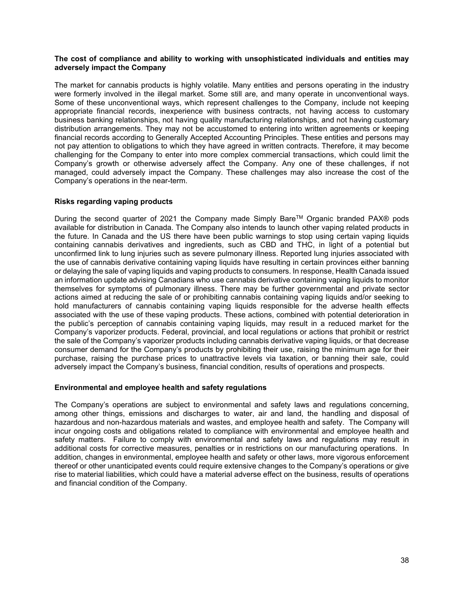#### **The cost of compliance and ability to working with unsophisticated individuals and entities may adversely impact the Company**

The market for cannabis products is highly volatile. Many entities and persons operating in the industry were formerly involved in the illegal market. Some still are, and many operate in unconventional ways. Some of these unconventional ways, which represent challenges to the Company, include not keeping appropriate financial records, inexperience with business contracts, not having access to customary business banking relationships, not having quality manufacturing relationships, and not having customary distribution arrangements. They may not be accustomed to entering into written agreements or keeping financial records according to Generally Accepted Accounting Principles. These entities and persons may not pay attention to obligations to which they have agreed in written contracts. Therefore, it may become challenging for the Company to enter into more complex commercial transactions, which could limit the Company's growth or otherwise adversely affect the Company. Any one of these challenges, if not managed, could adversely impact the Company. These challenges may also increase the cost of the Company's operations in the near-term.

#### **Risks regarding vaping products**

During the second quarter of 2021 the Company made Simply Bare™ Organic branded PAX® pods available for distribution in Canada. The Company also intends to launch other vaping related products in the future. In Canada and the US there have been public warnings to stop using certain vaping liquids containing cannabis derivatives and ingredients, such as CBD and THC, in light of a potential but unconfirmed link to lung injuries such as severe pulmonary illness. Reported lung injuries associated with the use of cannabis derivative containing vaping liquids have resulting in certain provinces either banning or delaying the sale of vaping liquids and vaping products to consumers. In response, Health Canada issued an information update advising Canadians who use cannabis derivative containing vaping liquids to monitor themselves for symptoms of pulmonary illness. There may be further governmental and private sector actions aimed at reducing the sale of or prohibiting cannabis containing vaping liquids and/or seeking to hold manufacturers of cannabis containing vaping liquids responsible for the adverse health effects associated with the use of these vaping products. These actions, combined with potential deterioration in the public's perception of cannabis containing vaping liquids, may result in a reduced market for the Company's vaporizer products. Federal, provincial, and local regulations or actions that prohibit or restrict the sale of the Company's vaporizer products including cannabis derivative vaping liquids, or that decrease consumer demand for the Company's products by prohibiting their use, raising the minimum age for their purchase, raising the purchase prices to unattractive levels via taxation, or banning their sale, could adversely impact the Company's business, financial condition, results of operations and prospects.

#### **Environmental and employee health and safety regulations**

The Company's operations are subject to environmental and safety laws and regulations concerning, among other things, emissions and discharges to water, air and land, the handling and disposal of hazardous and non-hazardous materials and wastes, and employee health and safety. The Company will incur ongoing costs and obligations related to compliance with environmental and employee health and safety matters. Failure to comply with environmental and safety laws and regulations may result in additional costs for corrective measures, penalties or in restrictions on our manufacturing operations. In addition, changes in environmental, employee health and safety or other laws, more vigorous enforcement thereof or other unanticipated events could require extensive changes to the Company's operations or give rise to material liabilities, which could have a material adverse effect on the business, results of operations and financial condition of the Company.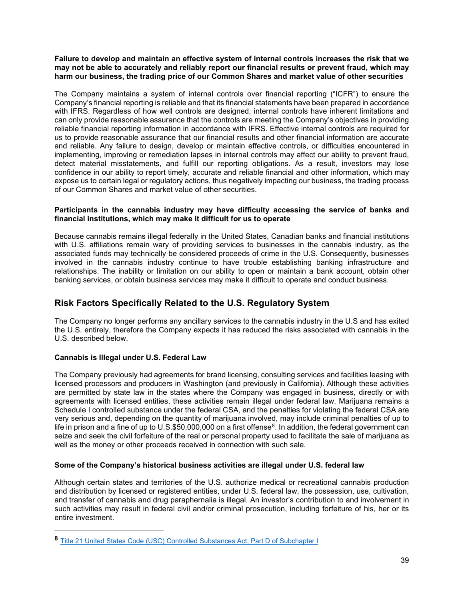#### **Failure to develop and maintain an effective system of internal controls increases the risk that we may not be able to accurately and reliably report our financial results or prevent fraud, which may harm our business, the trading price of our Common Shares and market value of other securities**

The Company maintains a system of internal controls over financial reporting ("ICFR") to ensure the Company's financial reporting is reliable and that its financial statements have been prepared in accordance with IFRS. Regardless of how well controls are designed, internal controls have inherent limitations and can only provide reasonable assurance that the controls are meeting the Company's objectives in providing reliable financial reporting information in accordance with IFRS. Effective internal controls are required for us to provide reasonable assurance that our financial results and other financial information are accurate and reliable. Any failure to design, develop or maintain effective controls, or difficulties encountered in implementing, improving or remediation lapses in internal controls may affect our ability to prevent fraud, detect material misstatements, and fulfill our reporting obligations. As a result, investors may lose confidence in our ability to report timely, accurate and reliable financial and other information, which may expose us to certain legal or regulatory actions, thus negatively impacting our business, the trading process of our Common Shares and market value of other securities.

#### **Participants in the cannabis industry may have difficulty accessing the service of banks and financial institutions, which may make it difficult for us to operate**

Because cannabis remains illegal federally in the United States, Canadian banks and financial institutions with U.S. affiliations remain wary of providing services to businesses in the cannabis industry, as the associated funds may technically be considered proceeds of crime in the U.S. Consequently, businesses involved in the cannabis industry continue to have trouble establishing banking infrastructure and relationships. The inability or limitation on our ability to open or maintain a bank account, obtain other banking services, or obtain business services may make it difficult to operate and conduct business.

### **Risk Factors Specifically Related to the U.S. Regulatory System**

The Company no longer performs any ancillary services to the cannabis industry in the U.S and has exited the U.S. entirely, therefore the Company expects it has reduced the risks associated with cannabis in the U.S. described below.

#### **Cannabis is Illegal under U.S. Federal Law**

The Company previously had agreements for brand licensing, consulting services and facilities leasing with licensed processors and producers in Washington (and previously in California). Although these activities are permitted by state law in the states where the Company was engaged in business, directly or with agreements with licensed entities, these activities remain illegal under federal law. Marijuana remains a Schedule I controlled substance under the federal CSA, and the penalties for violating the federal CSA are very serious and, depending on the quantity of marijuana involved, may include criminal penalties of up to life in prison and a fine of up to U.S.\$50,000,000 on a first offense<sup>8</sup>. In addition, the federal government can seize and seek the civil forfeiture of the real or personal property used to facilitate the sale of marijuana as well as the money or other proceeds received in connection with such sale.

#### **Some of the Company's historical business activities are illegal under U.S. federal law**

Although certain states and territories of the U.S. authorize medical or recreational cannabis production and distribution by licensed or registered entities, under U.S. federal law, the possession, use, cultivation, and transfer of cannabis and drug paraphernalia is illegal. An investor's contribution to and involvement in such activities may result in federal civil and/or criminal prosecution, including forfeiture of his, her or its entire investment.

<span id="page-39-0"></span>**<sup>8</sup>** [Title 21 United States Code \(USC\) Controlled Substances Act; Part D of Subchapter I](https://www.deadiversion.usdoj.gov/21cfr/21usc/841.htm)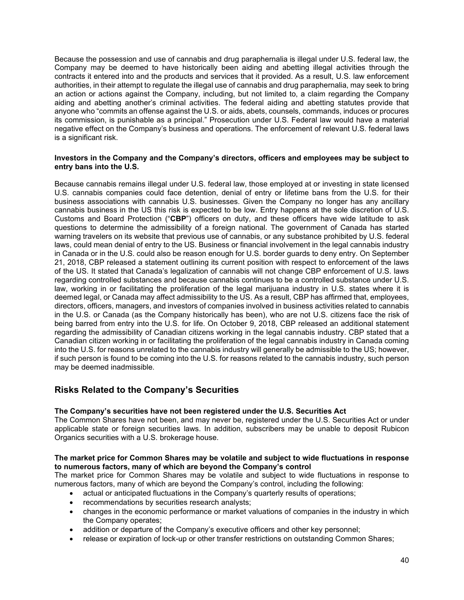Because the possession and use of cannabis and drug paraphernalia is illegal under U.S. federal law, the Company may be deemed to have historically been aiding and abetting illegal activities through the contracts it entered into and the products and services that it provided. As a result, U.S. law enforcement authorities, in their attempt to regulate the illegal use of cannabis and drug paraphernalia, may seek to bring an action or actions against the Company, including, but not limited to, a claim regarding the Company aiding and abetting another's criminal activities. The federal aiding and abetting statutes provide that anyone who "commits an offense against the U.S. or aids, abets, counsels, commands, induces or procures its commission, is punishable as a principal." Prosecution under U.S. Federal law would have a material negative effect on the Company's business and operations. The enforcement of relevant U.S. federal laws is a significant risk.

#### **Investors in the Company and the Company's directors, officers and employees may be subject to entry bans into the U.S.**

Because cannabis remains illegal under U.S. federal law, those employed at or investing in state licensed U.S. cannabis companies could face detention, denial of entry or lifetime bans from the U.S. for their business associations with cannabis U.S. businesses. Given the Company no longer has any ancillary cannabis business in the US this risk is expected to be low. Entry happens at the sole discretion of U.S. Customs and Board Protection ("**CBP**") officers on duty, and these officers have wide latitude to ask questions to determine the admissibility of a foreign national. The government of Canada has started warning travelers on its website that previous use of cannabis, or any substance prohibited by U.S. federal laws, could mean denial of entry to the US. Business or financial involvement in the legal cannabis industry in Canada or in the U.S. could also be reason enough for U.S. border guards to deny entry. On September 21, 2018, CBP released a statement outlining its current position with respect to enforcement of the laws of the US. It stated that Canada's legalization of cannabis will not change CBP enforcement of U.S. laws regarding controlled substances and because cannabis continues to be a controlled substance under U.S. law, working in or facilitating the proliferation of the legal marijuana industry in U.S. states where it is deemed legal, or Canada may affect admissibility to the US. As a result, CBP has affirmed that, employees, directors, officers, managers, and investors of companies involved in business activities related to cannabis in the U.S. or Canada (as the Company historically has been), who are not U.S. citizens face the risk of being barred from entry into the U.S. for life. On October 9, 2018, CBP released an additional statement regarding the admissibility of Canadian citizens working in the legal cannabis industry. CBP stated that a Canadian citizen working in or facilitating the proliferation of the legal cannabis industry in Canada coming into the U.S. for reasons unrelated to the cannabis industry will generally be admissible to the US; however, if such person is found to be coming into the U.S. for reasons related to the cannabis industry, such person may be deemed inadmissible.

### **Risks Related to the Company's Securities**

#### **The Company's securities have not been registered under the U.S. Securities Act**

The Common Shares have not been, and may never be, registered under the U.S. Securities Act or under applicable state or foreign securities laws. In addition, subscribers may be unable to deposit Rubicon Organics securities with a U.S. brokerage house.

#### **The market price for Common Shares may be volatile and subject to wide fluctuations in response to numerous factors, many of which are beyond the Company's control**

The market price for Common Shares may be volatile and subject to wide fluctuations in response to numerous factors, many of which are beyond the Company's control, including the following:

- actual or anticipated fluctuations in the Company's quarterly results of operations;
- recommendations by securities research analysts;
- changes in the economic performance or market valuations of companies in the industry in which the Company operates;
- addition or departure of the Company's executive officers and other key personnel;
- release or expiration of lock-up or other transfer restrictions on outstanding Common Shares;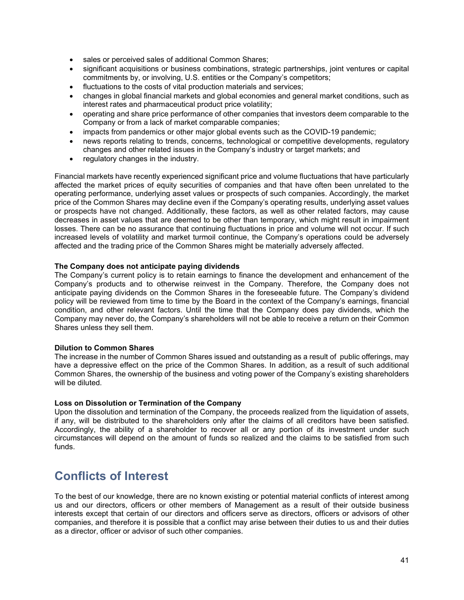- sales or perceived sales of additional Common Shares;
- significant acquisitions or business combinations, strategic partnerships, joint ventures or capital commitments by, or involving, U.S. entities or the Company's competitors;
- fluctuations to the costs of vital production materials and services;
- changes in global financial markets and global economies and general market conditions, such as interest rates and pharmaceutical product price volatility;
- operating and share price performance of other companies that investors deem comparable to the Company or from a lack of market comparable companies;
- impacts from pandemics or other major global events such as the COVID-19 pandemic;
- news reports relating to trends, concerns, technological or competitive developments, regulatory changes and other related issues in the Company's industry or target markets; and
- regulatory changes in the industry.

Financial markets have recently experienced significant price and volume fluctuations that have particularly affected the market prices of equity securities of companies and that have often been unrelated to the operating performance, underlying asset values or prospects of such companies. Accordingly, the market price of the Common Shares may decline even if the Company's operating results, underlying asset values or prospects have not changed. Additionally, these factors, as well as other related factors, may cause decreases in asset values that are deemed to be other than temporary, which might result in impairment losses. There can be no assurance that continuing fluctuations in price and volume will not occur. If such increased levels of volatility and market turmoil continue, the Company's operations could be adversely affected and the trading price of the Common Shares might be materially adversely affected.

#### **The Company does not anticipate paying dividends**

The Company's current policy is to retain earnings to finance the development and enhancement of the Company's products and to otherwise reinvest in the Company. Therefore, the Company does not anticipate paying dividends on the Common Shares in the foreseeable future. The Company's dividend policy will be reviewed from time to time by the Board in the context of the Company's earnings, financial condition, and other relevant factors. Until the time that the Company does pay dividends, which the Company may never do, the Company's shareholders will not be able to receive a return on their Common Shares unless they sell them.

#### **Dilution to Common Shares**

The increase in the number of Common Shares issued and outstanding as a result of public offerings, may have a depressive effect on the price of the Common Shares. In addition, as a result of such additional Common Shares, the ownership of the business and voting power of the Company's existing shareholders will be diluted.

#### **Loss on Dissolution or Termination of the Company**

Upon the dissolution and termination of the Company, the proceeds realized from the liquidation of assets, if any, will be distributed to the shareholders only after the claims of all creditors have been satisfied. Accordingly, the ability of a shareholder to recover all or any portion of its investment under such circumstances will depend on the amount of funds so realized and the claims to be satisfied from such funds.

# **Conflicts of Interest**

To the best of our knowledge, there are no known existing or potential material conflicts of interest among us and our directors, officers or other members of Management as a result of their outside business interests except that certain of our directors and officers serve as directors, officers or advisors of other companies, and therefore it is possible that a conflict may arise between their duties to us and their duties as a director, officer or advisor of such other companies.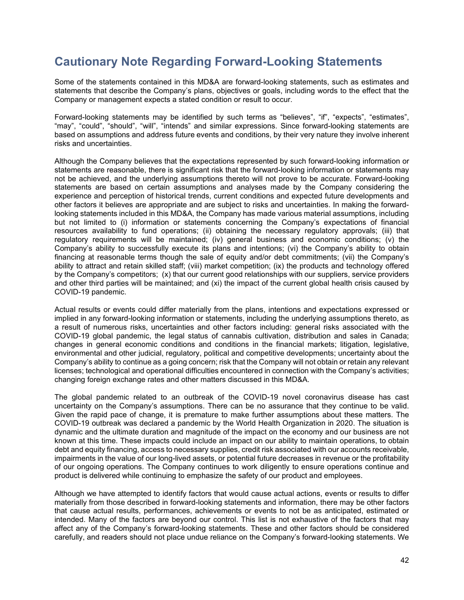# **Cautionary Note Regarding Forward-Looking Statements**

Some of the statements contained in this MD&A are forward-looking statements, such as estimates and statements that describe the Company's plans, objectives or goals, including words to the effect that the Company or management expects a stated condition or result to occur.

Forward-looking statements may be identified by such terms as "believes", "if", "expects", "estimates", "may", "could", "should", "will", "intends" and similar expressions. Since forward-looking statements are based on assumptions and address future events and conditions, by their very nature they involve inherent risks and uncertainties.

Although the Company believes that the expectations represented by such forward-looking information or statements are reasonable, there is significant risk that the forward-looking information or statements may not be achieved, and the underlying assumptions thereto will not prove to be accurate. Forward-looking statements are based on certain assumptions and analyses made by the Company considering the experience and perception of historical trends, current conditions and expected future developments and other factors it believes are appropriate and are subject to risks and uncertainties. In making the forwardlooking statements included in this MD&A, the Company has made various material assumptions, including but not limited to (i) information or statements concerning the Company's expectations of financial resources availability to fund operations; (ii) obtaining the necessary regulatory approvals; (iii) that regulatory requirements will be maintained; (iv) general business and economic conditions; (v) the Company's ability to successfully execute its plans and intentions; (vi) the Company's ability to obtain financing at reasonable terms though the sale of equity and/or debt commitments; (vii) the Company's ability to attract and retain skilled staff; (viii) market competition; (ix) the products and technology offered by the Company's competitors; (x) that our current good relationships with our suppliers, service providers and other third parties will be maintained; and (xi) the impact of the current global health crisis caused by COVID-19 pandemic.

Actual results or events could differ materially from the plans, intentions and expectations expressed or implied in any forward-looking information or statements, including the underlying assumptions thereto, as a result of numerous risks, uncertainties and other factors including: general risks associated with the COVID-19 global pandemic, the legal status of cannabis cultivation, distribution and sales in Canada; changes in general economic conditions and conditions in the financial markets; litigation, legislative, environmental and other judicial, regulatory, political and competitive developments; uncertainty about the Company's ability to continue as a going concern; risk that the Company will not obtain or retain any relevant licenses; technological and operational difficulties encountered in connection with the Company's activities; changing foreign exchange rates and other matters discussed in this MD&A.

The global pandemic related to an outbreak of the COVID-19 novel coronavirus disease has cast uncertainty on the Company's assumptions. There can be no assurance that they continue to be valid. Given the rapid pace of change, it is premature to make further assumptions about these matters. The COVID-19 outbreak was declared a pandemic by the World Health Organization in 2020. The situation is dynamic and the ultimate duration and magnitude of the impact on the economy and our business are not known at this time. These impacts could include an impact on our ability to maintain operations, to obtain debt and equity financing, access to necessary supplies, credit risk associated with our accounts receivable, impairments in the value of our long-lived assets, or potential future decreases in revenue or the profitability of our ongoing operations. The Company continues to work diligently to ensure operations continue and product is delivered while continuing to emphasize the safety of our product and employees.

Although we have attempted to identify factors that would cause actual actions, events or results to differ materially from those described in forward-looking statements and information, there may be other factors that cause actual results, performances, achievements or events to not be as anticipated, estimated or intended. Many of the factors are beyond our control. This list is not exhaustive of the factors that may affect any of the Company's forward-looking statements. These and other factors should be considered carefully, and readers should not place undue reliance on the Company's forward-looking statements. We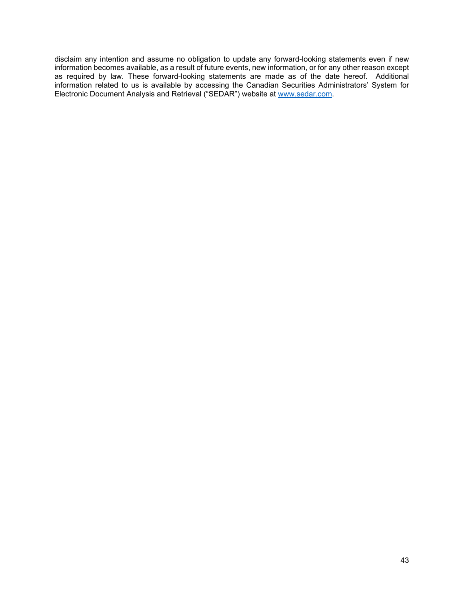disclaim any intention and assume no obligation to update any forward-looking statements even if new information becomes available, as a result of future events, new information, or for any other reason except as required by law. These forward-looking statements are made as of the date hereof. Additional information related to us is available by accessing the Canadian Securities Administrators' System for Electronic Document Analysis and Retrieval ("SEDAR") website at [www.sedar.com.](http://www.sedar.com/)